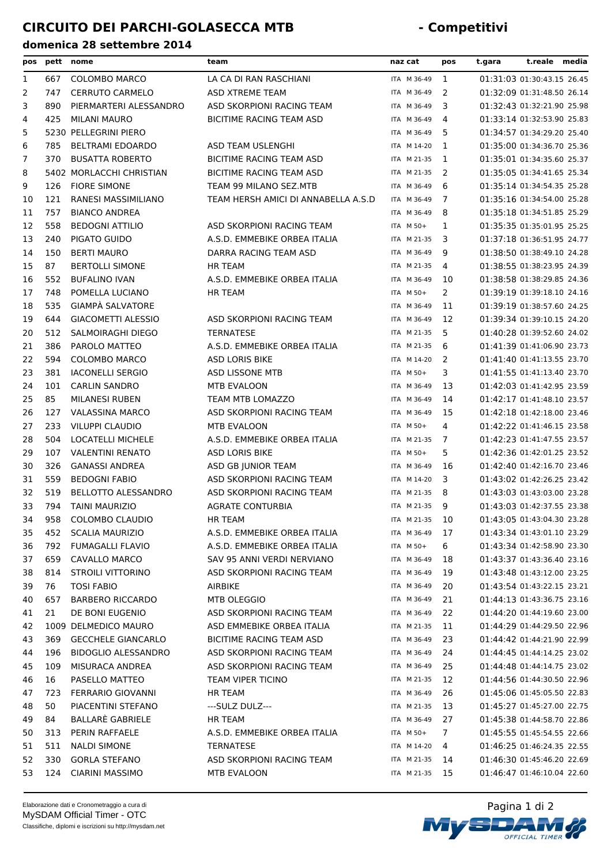| pos |     | pett nome                  | team                                | naz cat     | pos            | t.gara | t.reale media              |  |
|-----|-----|----------------------------|-------------------------------------|-------------|----------------|--------|----------------------------|--|
| 1   | 667 | <b>COLOMBO MARCO</b>       | LA CA DI RAN RASCHIANI              | ITA M 36-49 | - 1            |        | 01:31:03 01:30:43.15 26.45 |  |
| 2   | 747 | <b>CERRUTO CARMELO</b>     | ASD XTREME TEAM                     | ITA M 36-49 | 2              |        | 01:32:09 01:31:48.50 26.14 |  |
| 3   | 890 | PIERMARTERI ALESSANDRO     | ASD SKORPIONI RACING TEAM           | ITA M 36-49 | 3              |        | 01:32:43 01:32:21.90 25.98 |  |
| 4   | 425 | <b>MILANI MAURO</b>        | BICITIME RACING TEAM ASD            | ITA M 36-49 | 4              |        | 01:33:14 01:32:53.90 25.83 |  |
| 5   |     | 5230 PELLEGRINI PIERO      |                                     | ITA M 36-49 | 5              |        | 01:34:57 01:34:29.20 25.40 |  |
| 6   | 785 | <b>BELTRAMI EDOARDO</b>    | ASD TEAM USLENGHI                   | ITA M 14-20 | -1             |        | 01:35:00 01:34:36.70 25.36 |  |
| 7   | 370 | <b>BUSATTA ROBERTO</b>     | <b>BICITIME RACING TEAM ASD</b>     | ITA M 21-35 | -1             |        | 01:35:01 01:34:35.60 25.37 |  |
| 8   |     | 5402 MORLACCHI CHRISTIAN   | BICITIME RACING TEAM ASD            | ITA M 21-35 | <sup>2</sup>   |        | 01:35:05 01:34:41.65 25.34 |  |
| 9   | 126 | <b>FIORE SIMONE</b>        | TEAM 99 MILANO SEZ.MTB              | ITA M 36-49 | 6              |        | 01:35:14 01:34:54.35 25.28 |  |
| 10  | 121 | RANESI MASSIMILIANO        | TEAM HERSH AMICI DI ANNABELLA A.S.D | ITA M 36-49 | 7              |        | 01:35:16 01:34:54.00 25.28 |  |
| 11  | 757 | <b>BIANCO ANDREA</b>       |                                     | ITA M 36-49 | 8              |        | 01:35:18 01:34:51.85 25.29 |  |
| 12  | 558 | <b>BEDOGNI ATTILIO</b>     | ASD SKORPIONI RACING TEAM           | ITA M 50+   | 1              |        | 01:35:35 01:35:01.95 25.25 |  |
| 13  | 240 | PIGATO GUIDO               | A.S.D. EMMEBIKE ORBEA ITALIA        | ITA M 21-35 | 3              |        | 01:37:18 01:36:51.95 24.77 |  |
| 14  | 150 | <b>BERTI MAURO</b>         | DARRA RACING TEAM ASD               | ITA M 36-49 | 9              |        | 01:38:50 01:38:49.10 24.28 |  |
| 15  | 87  | <b>BERTOLLI SIMONE</b>     | <b>HR TEAM</b>                      | ITA M 21-35 | 4              |        | 01:38:55 01:38:23.95 24.39 |  |
| 16  | 552 | <b>BUFALINO IVAN</b>       | A.S.D. EMMEBIKE ORBEA ITALIA        | ITA M 36-49 | 10             |        | 01:38:58 01:38:29.85 24.36 |  |
| 17  | 748 | POMELLA LUCIANO            | HR TEAM                             | ITA M 50+   | $\overline{2}$ |        | 01:39:19 01:39:18.10 24.16 |  |
| 18  | 535 | <b>GIAMPÀ SALVATORE</b>    |                                     | ITA M 36-49 | 11             |        | 01:39:19 01:38:57.60 24.25 |  |
| 19  | 644 | <b>GIACOMETTI ALESSIO</b>  | ASD SKORPIONI RACING TEAM           | ITA M 36-49 | 12             |        | 01:39:34 01:39:10.15 24.20 |  |
| 20  | 512 | <b>SALMOIRAGHI DIEGO</b>   | <b>TERNATESE</b>                    | ITA M 21-35 | 5              |        | 01:40:28 01:39:52.60 24.02 |  |
| 21  | 386 | PAROLO MATTEO              | A.S.D. EMMEBIKE ORBEA ITALIA        | ITA M 21-35 | 6              |        | 01:41:39 01:41:06.90 23.73 |  |
| 22  | 594 | COLOMBO MARCO              | <b>ASD LORIS BIKE</b>               | ITA M 14-20 | 2              |        | 01:41:40 01:41:13.55 23.70 |  |
| 23  | 381 | <b>IACONELLI SERGIO</b>    | ASD LISSONE MTB                     | ITA M 50+   | 3              |        | 01:41:55 01:41:13.40 23.70 |  |
| 24  | 101 | <b>CARLIN SANDRO</b>       | <b>MTB EVALOON</b>                  | ITA M 36-49 | 13             |        | 01:42:03 01:41:42.95 23.59 |  |
| 25  | 85  | <b>MILANESI RUBEN</b>      | TEAM MTB LOMAZZO                    | ITA M 36-49 | 14             |        | 01:42:17 01:41:48.10 23.57 |  |
| 26  | 127 | <b>VALASSINA MARCO</b>     | ASD SKORPIONI RACING TEAM           | ITA M 36-49 | 15             |        | 01:42:18 01:42:18.00 23.46 |  |
| 27  | 233 | <b>VILUPPI CLAUDIO</b>     | MTB EVALOON                         | ITA M 50+   | 4              |        | 01:42:22 01:41:46.15 23.58 |  |
| 28  | 504 | LOCATELLI MICHELE          | A.S.D. EMMEBIKE ORBEA ITALIA        | ITA M 21-35 | 7              |        | 01:42:23 01:41:47.55 23.57 |  |
| 29  | 107 | <b>VALENTINI RENATO</b>    | <b>ASD LORIS BIKE</b>               | ITA M 50+   | 5              |        | 01:42:36 01:42:01.25 23.52 |  |
| 30  | 326 | <b>GANASSI ANDREA</b>      | ASD GB JUNIOR TEAM                  | ITA M 36-49 | 16             |        | 01:42:40 01:42:16.70 23.46 |  |
| 31  | 559 | <b>BEDOGNI FABIO</b>       | ASD SKORPIONI RACING TEAM           | ITA M 14-20 | 3              |        | 01:43:02 01:42:26.25 23.42 |  |
| 32  | 519 | <b>BELLOTTO ALESSANDRO</b> | ASD SKORPIONI RACING TEAM           | ITA M 21-35 | 8              |        | 01:43:03 01:43:03.00 23.28 |  |
| 33  | 794 | <b>TAINI MAURIZIO</b>      | <b>AGRATE CONTURBIA</b>             | ITA M 21-35 | - 9            |        | 01:43:03 01:42:37.55 23.38 |  |
| 34  | 958 | COLOMBO CLAUDIO            | HR TEAM                             | ITA M 21-35 | 10             |        | 01:43:05 01:43:04.30 23.28 |  |
| 35  | 452 | <b>SCALIA MAURIZIO</b>     | A.S.D. EMMEBIKE ORBEA ITALIA        | ITA M 36-49 | 17             |        | 01:43:34 01:43:01.10 23.29 |  |
| 36  | 792 | <b>FUMAGALLI FLAVIO</b>    | A.S.D. EMMEBIKE ORBEA ITALIA        | ITA M 50+   | 6              |        | 01:43:34 01:42:58.90 23.30 |  |
| 37  | 659 | <b>CAVALLO MARCO</b>       | SAV 95 ANNI VERDI NERVIANO          | ITA M 36-49 | 18             |        | 01:43:37 01:43:36.40 23.16 |  |
| 38  | 814 | STROILI VITTORINO          | ASD SKORPIONI RACING TEAM           | ITA M 36-49 | 19             |        | 01:43:48 01:43:12.00 23.25 |  |
| 39  | 76  | <b>TOSI FABIO</b>          | <b>AIRBIKE</b>                      | ITA M 36-49 | 20             |        | 01:43:54 01:43:22.15 23.21 |  |
| 40  | 657 | <b>BARBERO RICCARDO</b>    | MTB OLEGGIO                         | ITA M 36-49 | 21             |        | 01:44:13 01:43:36.75 23.16 |  |
| 41  | 21  | DE BONI EUGENIO            | ASD SKORPIONI RACING TEAM           | ITA M 36-49 | 22             |        | 01:44:20 01:44:19.60 23.00 |  |
| 42  |     | 1009 DELMEDICO MAURO       | ASD EMMEBIKE ORBEA ITALIA           | ITA M 21-35 | 11             |        | 01:44:29 01:44:29.50 22.96 |  |
| 43  | 369 | <b>GECCHELE GIANCARLO</b>  | BICITIME RACING TEAM ASD            | ITA M 36-49 | 23             |        | 01:44:42 01:44:21.90 22.99 |  |
| 44  | 196 | <b>BIDOGLIO ALESSANDRO</b> | ASD SKORPIONI RACING TEAM           | ITA M 36-49 | 24             |        | 01:44:45 01:44:14.25 23.02 |  |
| 45  | 109 | MISURACA ANDREA            | ASD SKORPIONI RACING TEAM           | ITA M 36-49 | 25             |        | 01:44:48 01:44:14.75 23.02 |  |
| 46  | 16  | PASELLO MATTEO             | TEAM VIPER TICINO                   | ITA M 21-35 | 12             |        | 01:44:56 01:44:30.50 22.96 |  |
| 47  | 723 | FERRARIO GIOVANNI          | HR TEAM                             | ITA M 36-49 | 26             |        | 01:45:06 01:45:05.50 22.83 |  |
| 48  | 50  | PIACENTINI STEFANO         | ---SULZ DULZ---                     | ITA M 21-35 | 13             |        | 01:45:27 01:45:27.00 22.75 |  |
| 49  | 84  | BALLARE GABRIELE           | HR TEAM                             | ITA M 36-49 | 27             |        | 01:45:38 01:44:58.70 22.86 |  |
| 50  | 313 | PERIN RAFFAELE             | A.S.D. EMMEBIKE ORBEA ITALIA        | ITA M 50+   | 7              |        | 01:45:55 01:45:54.55 22.66 |  |
| 51  | 511 | <b>NALDI SIMONE</b>        | TERNATESE                           | ITA M 14-20 | 4              |        | 01:46:25 01:46:24.35 22.55 |  |
| 52  | 330 | <b>GORLA STEFANO</b>       | ASD SKORPIONI RACING TEAM           | ITA M 21-35 | 14             |        | 01:46:30 01:45:46.20 22.69 |  |
| 53  | 124 | <b>CIARINI MASSIMO</b>     | MTB EVALOON                         | ITA M 21-35 | - 15           |        | 01:46:47 01:46:10.04 22.60 |  |
|     |     |                            |                                     |             |                |        |                            |  |

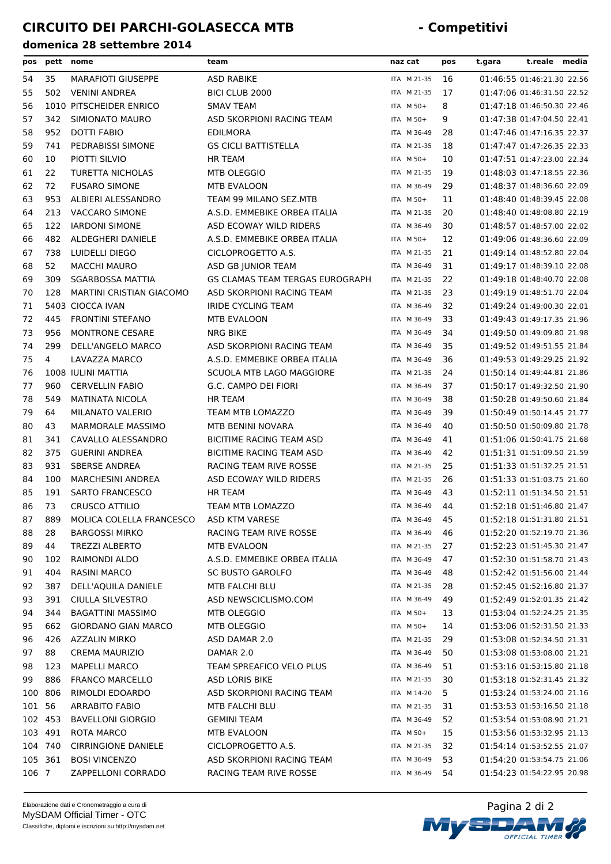| pos     | pett    | nome                                        | team                            | naz cat        | pos | t.reale media<br>t.gara    |
|---------|---------|---------------------------------------------|---------------------------------|----------------|-----|----------------------------|
| 54      | 35      | <b>MARAFIOTI GIUSEPPE</b>                   | ASD RABIKE                      | ITA M 21-35    | 16  | 01:46:55 01:46:21.30 22.56 |
| 55      | 502     | <b>VENINI ANDREA</b>                        | BICI CLUB 2000                  | ITA M 21-35    | 17  | 01:47:06 01:46:31.50 22.52 |
| 56      |         | 1010 PITSCHEIDER ENRICO                     | <b>SMAV TEAM</b>                | ITA M 50+      | 8   | 01:47:18 01:46:50.30 22.46 |
| 57      | 342     | SIMIONATO MAURO                             | ASD SKORPIONI RACING TEAM       | ITA M 50+      | 9   | 01:47:38 01:47:04.50 22.41 |
| 58      | 952     | DOTTI FABIO                                 | <b>EDILMORA</b>                 | ITA M 36-49    | 28  | 01:47:46 01:47:16.35 22.37 |
| 59      | 741     | PEDRABISSI SIMONE                           | <b>GS CICLI BATTISTELLA</b>     | ITA M 21-35    | 18  | 01:47:47 01:47:26.35 22.33 |
| 60      | 10      | PIOTTI SILVIO                               | <b>HR TEAM</b>                  | ITA M 50+      | 10  | 01:47:51 01:47:23.00 22.34 |
| 61      | 22      | <b>TURETTA NICHOLAS</b>                     | MTB OLEGGIO                     | ITA M 21-35    | 19  | 01:48:03 01:47:18.55 22.36 |
| 62      | 72      | <b>FUSARO SIMONE</b>                        | MTB EVALOON                     | ITA M 36-49    | 29  | 01:48:37 01:48:36.60 22.09 |
| 63      | 953     | ALBIERI ALESSANDRO                          | TEAM 99 MILANO SEZ.MTB          | ITA M 50+      | 11  | 01:48:40 01:48:39.45 22.08 |
| 64      | 213     | <b>VACCARO SIMONE</b>                       | A.S.D. EMMEBIKE ORBEA ITALIA    | ITA M 21-35    | 20  | 01:48:40 01:48:08.80 22.19 |
| 65      | 122     | <b>IARDONI SIMONE</b>                       | ASD ECOWAY WILD RIDERS          | ITA M 36-49    | 30  | 01:48:57 01:48:57.00 22.02 |
| 66      | 482     | ALDEGHERI DANIELE                           | A.S.D. EMMEBIKE ORBEA ITALIA    | ITA M 50+      | 12  | 01:49:06 01:48:36.60 22.09 |
| 67      | 738     | LUIDELLI DIEGO                              | CICLOPROGETTO A.S.              | ITA M 21-35    | 21  | 01:49:14 01:48:52.80 22.04 |
| 68      | 52      | <b>MACCHI MAURO</b>                         | ASD GB JUNIOR TEAM              | ITA M 36-49    | 31  | 01:49:17 01:48:39.10 22.08 |
| 69      | 309     | <b>SGARBOSSA MATTIA</b>                     | GS CLAMAS TEAM TERGAS EUROGRAPH | ITA M 21-35    | 22  | 01:49:18 01:48:40.70 22.08 |
| 70      | 128     | <b>MARTINI CRISTIAN GIACOMO</b>             | ASD SKORPIONI RACING TEAM       | ITA M 21-35    | 23  | 01:49:19 01:48:51.70 22.04 |
| 71      |         | 5403 CIOCCA IVAN                            | IRIDE CYCLING TEAM              | ITA M 36-49    | 32  | 01:49:24 01:49:00.30 22.01 |
| 72      | 445     | <b>FRONTINI STEFANO</b>                     | <b>MTB EVALOON</b>              | ITA M 36-49    | 33  | 01:49:43 01:49:17.35 21.96 |
| 73      | 956     | <b>MONTRONE CESARE</b>                      | <b>NRG BIKE</b>                 | ITA M 36-49    | 34  | 01:49:50 01:49:09.80 21.98 |
| 74      | 299     | DELL'ANGELO MARCO                           | ASD SKORPIONI RACING TEAM       | ITA M 36-49    | 35  | 01:49:52 01:49:51.55 21.84 |
| 75      | 4       | LAVAZZA MARCO                               | A.S.D. EMMEBIKE ORBEA ITALIA    | ITA M 36-49    | 36  | 01:49:53 01:49:29.25 21.92 |
| 76      |         | 1008 IULINI MATTIA                          | SCUOLA MTB LAGO MAGGIORE        | ITA M 21-35    | 24  | 01:50:14 01:49:44.81 21.86 |
| 77      | 960     | <b>CERVELLIN FABIO</b>                      | G.C. CAMPO DEI FIORI            | ITA M 36-49    | 37  | 01:50:17 01:49:32.50 21.90 |
| 78      | 549     | MATINATA NICOLA                             | <b>HR TEAM</b>                  | ITA M 36-49    | 38  | 01:50:28 01:49:50.60 21.84 |
| 79      | 64      | <b>MILANATO VALERIO</b>                     | TEAM MTB LOMAZZO                | ITA M 36-49    | 39  | 01:50:49 01:50:14.45 21.77 |
| 80      | 43      | <b>MARMORALE MASSIMO</b>                    | MTB BENINI NOVARA               | ITA M 36-49    | 40  | 01:50:50 01:50:09.80 21.78 |
| 81      | 341     | CAVALLO ALESSANDRO                          | BICITIME RACING TEAM ASD        | ITA M 36-49    | 41  | 01:51:06 01:50:41.75 21.68 |
| 82      | 375     | <b>GUERINI ANDREA</b>                       | BICITIME RACING TEAM ASD        | ITA M 36-49    | 42  | 01:51:31 01:51:09.50 21.59 |
| 83      | 931     | <b>SBERSE ANDREA</b>                        | RACING TEAM RIVE ROSSE          | ITA M 21-35    | 25  | 01:51:33 01:51:32.25 21.51 |
| 84      | 100     | <b>MARCHESINI ANDREA</b>                    | ASD ECOWAY WILD RIDERS          | ITA M 21-35    | 26  | 01:51:33 01:51:03.75 21.60 |
| 85      | 191     | <b>SARTO FRANCESCO</b>                      | <b>HR TEAM</b>                  | ITA M 36-49    | 43  | 01:52:11 01:51:34.50 21.51 |
| 86      | 73      | <b>CRUSCO ATTILIO</b>                       | TEAM MTB LOMAZZO                | ITA M 36-49    | 44  | 01:52:18 01:51:46.80 21.47 |
| 87      |         | 889 MOLICA COLELLA FRANCESCO ASD KTM VARESE |                                 | ITA M 36-49 45 |     | 01:52:18 01:51:31.80 21.51 |
| 88      | 28      | <b>BARGOSSI MIRKO</b>                       | RACING TEAM RIVE ROSSE          | ITA M 36-49    | 46  | 01:52:20 01:52:19.70 21.36 |
| 89      | 44      | <b>TREZZI ALBERTO</b>                       | <b>MTB EVALOON</b>              | ITA M 21-35    | 27  | 01:52:23 01:51:45.30 21.47 |
| 90      | 102     | RAIMONDI ALDO                               | A.S.D. EMMEBIKE ORBEA ITALIA    | ITA M 36-49    | 47  | 01:52:30 01:51:58.70 21.43 |
| 91      | 404     | RASINI MARCO                                | <b>SC BUSTO GAROLFO</b>         | ITA M 36-49    | 48  | 01:52:42 01:51:56.00 21.44 |
| 92      | 387     | DELL'AQUILA DANIELE                         | MTB FALCHI BLU                  | ITA M 21-35    | 28  | 01:52:45 01:52:16.80 21.37 |
| 93      | 391     | CIULLA SILVESTRO                            | ASD NEWSCICLISMO.COM            | ITA M 36-49    | 49  | 01:52:49 01:52:01.35 21.42 |
| 94      | 344     | <b>BAGATTINI MASSIMO</b>                    | MTB OLEGGIO                     | ITA M 50+      | 13  | 01:53:04 01:52:24.25 21.35 |
| 95      | 662     | <b>GIORDANO GIAN MARCO</b>                  | MTB OLEGGIO                     | ITA M 50+      | 14  | 01:53:06 01:52:31.50 21.33 |
| 96      | 426     | <b>AZZALIN MIRKO</b>                        | ASD DAMAR 2.0                   | ITA M 21-35    | 29  | 01:53:08 01:52:34.50 21.31 |
| 97      | 88      | <b>CREMA MAURIZIO</b>                       | DAMAR 2.0                       | ITA M 36-49    | 50  | 01:53:08 01:53:08.00 21.21 |
| 98      | 123     | <b>MAPELLI MARCO</b>                        | TEAM SPREAFICO VELO PLUS        | ITA M 36-49    | 51  | 01:53:16 01:53:15.80 21.18 |
| 99      | 886     | FRANCO MARCELLO                             | ASD LORIS BIKE                  | ITA M 21-35    | 30  | 01:53:18 01:52:31.45 21.32 |
| 100     | 806     | RIMOLDI EDOARDO                             | ASD SKORPIONI RACING TEAM       | ITA M 14-20    | 5   | 01:53:24 01:53:24.00 21.16 |
| 101     | 56      | <b>ARRABITO FABIO</b>                       | MTB FALCHI BLU                  | ITA M 21-35    | 31  | 01:53:53 01:53:16.50 21.18 |
| 102 453 |         | <b>BAVELLONI GIORGIO</b>                    | <b>GEMINI TEAM</b>              | ITA M 36-49    | 52  | 01:53:54 01:53:08.90 21.21 |
| 103 491 |         | ROTA MARCO                                  | MTB EVALOON                     | ITA M 50+      | 15  | 01:53:56 01:53:32.95 21.13 |
|         | 104 740 | <b>CIRRINGIONE DANIELE</b>                  | CICLOPROGETTO A.S.              | ITA M 21-35    | 32  | 01:54:14 01:53:52.55 21.07 |
|         | 105 361 | <b>BOSI VINCENZO</b>                        | ASD SKORPIONI RACING TEAM       | ITA M 36-49    | 53  | 01:54:20 01:53:54.75 21.06 |
| 106 7   |         | ZAPPELLONI CORRADO                          | RACING TEAM RIVE ROSSE          | ITA M 36-49    | 54  | 01:54:23 01:54:22.95 20.98 |
|         |         |                                             |                                 |                |     |                            |

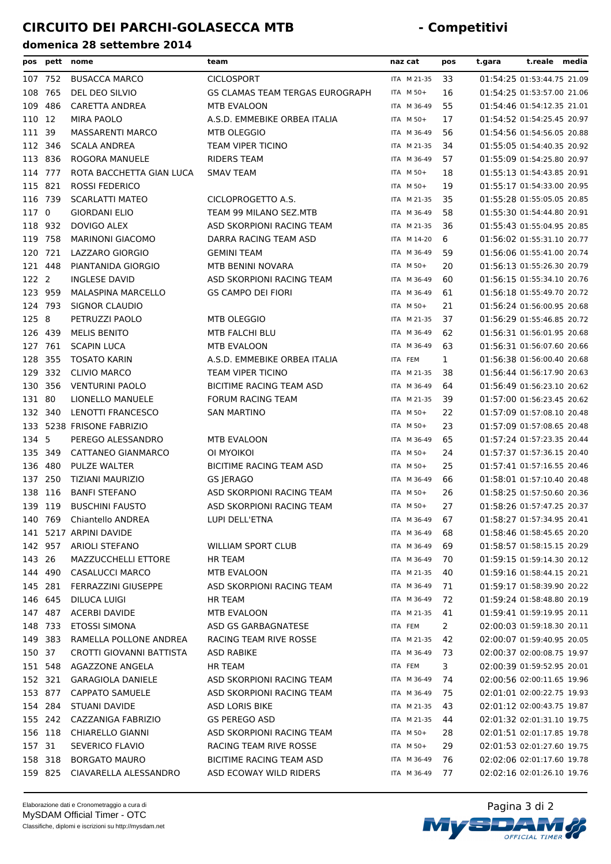| pos     | pett    | nome                      | team                            | naz cat     | pos          | t.gara                     | t.reale | media |
|---------|---------|---------------------------|---------------------------------|-------------|--------------|----------------------------|---------|-------|
|         | 107 752 | <b>BUSACCA MARCO</b>      | <b>CICLOSPORT</b>               | ITA M 21-35 | 33           | 01:54:25 01:53:44.75 21.09 |         |       |
| 108     | 765     | DEL DEO SILVIO            | GS CLAMAS TEAM TERGAS EUROGRAPH | ITA M 50+   | 16           | 01:54:25 01:53:57.00 21.06 |         |       |
| 109     | 486     | CARETTA ANDREA            | MTB EVALOON                     | ITA M 36-49 | 55           | 01:54:46 01:54:12.35 21.01 |         |       |
| 110 12  |         | MIRA PAOLO                | A.S.D. EMMEBIKE ORBEA ITALIA    | ITA M 50+   | 17           | 01:54:52 01:54:25.45 20.97 |         |       |
| 111 39  |         | <b>MASSARENTI MARCO</b>   | MTB OLEGGIO                     | ITA M 36-49 | 56           | 01:54:56 01:54:56.05 20.88 |         |       |
| 112 346 |         | <b>SCALA ANDREA</b>       | TEAM VIPER TICINO               | ITA M 21-35 | 34           | 01:55:05 01:54:40.35 20.92 |         |       |
| 113 836 |         | ROGORA MANUELE            | <b>RIDERS TEAM</b>              | ITA M 36-49 | 57           | 01:55:09 01:54:25.80 20.97 |         |       |
| 114 777 |         | ROTA BACCHETTA GIAN LUCA  | <b>SMAV TEAM</b>                | ITA M 50+   | 18           | 01:55:13 01:54:43.85 20.91 |         |       |
| 115 821 |         | <b>ROSSI FEDERICO</b>     |                                 | ITA M 50+   | 19           | 01:55:17 01:54:33.00 20.95 |         |       |
| 116 739 |         | <b>SCARLATTI MATEO</b>    | CICLOPROGETTO A.S.              | ITA M 21-35 | 35           | 01:55:28 01:55:05.05 20.85 |         |       |
| 117 0   |         | <b>GIORDANI ELIO</b>      | TEAM 99 MILANO SEZ.MTB          | ITA M 36-49 | 58           | 01:55:30 01:54:44.80 20.91 |         |       |
| 118     | 932     | DOVIGO ALEX               | ASD SKORPIONI RACING TEAM       | ITA M 21-35 | 36           | 01:55:43 01:55:04.95 20.85 |         |       |
| 119     | 758     | <b>MARINONI GIACOMO</b>   | DARRA RACING TEAM ASD           | ITA M 14-20 | 6            | 01:56:02 01:55:31.10 20.77 |         |       |
| 120     | 721     | LAZZARO GIORGIO           | <b>GEMINI TEAM</b>              | ITA M 36-49 | 59           | 01:56:06 01:55:41.00 20.74 |         |       |
| 121 448 |         | PIANTANIDA GIORGIO        | MTB BENINI NOVARA               | ITA M 50+   | 20           | 01:56:13 01:55:26.30 20.79 |         |       |
| 122 2   |         | <b>INGLESE DAVID</b>      | ASD SKORPIONI RACING TEAM       | ITA M 36-49 | 60           | 01:56:15 01:55:34.10 20.76 |         |       |
| 123 959 |         | <b>MALASPINA MARCELLO</b> | <b>GS CAMPO DEI FIORI</b>       | ITA M 36-49 | 61           | 01:56:18 01:55:49.70 20.72 |         |       |
| 124 793 |         | <b>SIGNOR CLAUDIO</b>     |                                 | ITA M 50+   | 21           | 01:56:24 01:56:00.95 20.68 |         |       |
| 125 8   |         | PETRUZZI PAOLO            | MTB OLEGGIO                     | ITA M 21-35 | 37           | 01:56:29 01:55:46.85 20.72 |         |       |
| 126 439 |         | <b>MELIS BENITO</b>       | MTB FALCHI BLU                  | ITA M 36-49 | 62           | 01:56:31 01:56:01.95 20.68 |         |       |
| 127 761 |         | <b>SCAPIN LUCA</b>        | MTB EVALOON                     | ITA M 36-49 | 63           | 01:56:31 01:56:07.60 20.66 |         |       |
| 128 355 |         | <b>TOSATO KARIN</b>       | A.S.D. EMMEBIKE ORBEA ITALIA    | ITA FEM     | $\mathbf{1}$ | 01:56:38 01:56:00.40 20.68 |         |       |
| 129 332 |         | <b>CLIVIO MARCO</b>       | <b>TEAM VIPER TICINO</b>        | ITA M 21-35 | 38           | 01:56:44 01:56:17.90 20.63 |         |       |
| 130     | 356     | <b>VENTURINI PAOLO</b>    | BICITIME RACING TEAM ASD        | ITA M 36-49 | 64           | 01:56:49 01:56:23.10 20.62 |         |       |
| 131 80  |         | LIONELLO MANUELE          | <b>FORUM RACING TEAM</b>        | ITA M 21-35 | 39           | 01:57:00 01:56:23.45 20.62 |         |       |
| 132 340 |         | LENOTTI FRANCESCO         | <b>SAN MARTINO</b>              | ITA M 50+   | 22           | 01:57:09 01:57:08.10 20.48 |         |       |
| 133     |         | 5238 FRISONE FABRIZIO     |                                 | ITA M 50+   | 23           | 01:57:09 01:57:08.65 20.48 |         |       |
| 134 5   |         | PEREGO ALESSANDRO         | MTB EVALOON                     | ITA M 36-49 | 65           | 01:57:24 01:57:23.35 20.44 |         |       |
| 135 349 |         | CATTANEO GIANMARCO        | OI MYOIKOI                      | ITA M 50+   | 24           | 01:57:37 01:57:36.15 20.40 |         |       |
| 136 480 |         | <b>PULZE WALTER</b>       | BICITIME RACING TEAM ASD        | ITA M 50+   | 25           | 01:57:41 01:57:16.55 20.46 |         |       |
| 137 250 |         | TIZIANI MAURIZIO          | <b>GS JERAGO</b>                | ITA M 36-49 | 66           | 01:58:01 01:57:10.40 20.48 |         |       |
| 138 116 |         | <b>BANFI STEFANO</b>      | ASD SKORPIONI RACING TEAM       | ITA M 50+   | 26           | 01:58:25 01:57:50.60 20.36 |         |       |
| 139 119 |         | <b>BUSCHINI FAUSTO</b>    | ASD SKORPIONI RACING TEAM       | ITA M 50+   | 27           | 01:58:26 01:57:47.25 20.37 |         |       |
| 140 769 |         | Chiantello ANDREA         | LUPI DELL'ETNA                  | ITA M 36-49 | 67           | 01:58:27 01:57:34.95 20.41 |         |       |
|         |         | 141 5217 ARPINI DAVIDE    |                                 | ITA M 36-49 | 68           | 01:58:46 01:58:45.65 20.20 |         |       |
|         | 142 957 | <b>ARIOLI STEFANO</b>     | <b>WILLIAM SPORT CLUB</b>       | ITA M 36-49 | 69           | 01:58:57 01:58:15.15 20.29 |         |       |
| 143 26  |         | MAZZUCCHELLI ETTORE       | <b>HR TEAM</b>                  | ITA M 36-49 | 70           | 01:59:15 01:59:14.30 20.12 |         |       |
| 144 490 |         | <b>CASALUCCI MARCO</b>    | MTB EVALOON                     | ITA M 21-35 | 40           | 01:59:16 01:58:44.15 20.21 |         |       |
| 145 281 |         | FERRAZZINI GIUSEPPE       | ASD SKORPIONI RACING TEAM       | ITA M 36-49 | 71           | 01:59:17 01:58:39.90 20.22 |         |       |
| 146 645 |         | <b>DILUCA LUIGI</b>       | <b>HR TEAM</b>                  | ITA M 36-49 | 72           | 01:59:24 01:58:48.80 20.19 |         |       |
|         | 147 487 | <b>ACERBI DAVIDE</b>      | MTB EVALOON                     | ITA M 21-35 | 41           | 01:59:41 01:59:19.95 20.11 |         |       |
|         | 148 733 | <b>ETOSSI SIMONA</b>      | ASD GS GARBAGNATESE             | ITA FEM     | $\mathbf{2}$ | 02:00:03 01:59:18.30 20.11 |         |       |
|         | 149 383 | RAMELLA POLLONE ANDREA    | RACING TEAM RIVE ROSSE          | ITA M 21-35 | 42           | 02:00:07 01:59:40.95 20.05 |         |       |
| 150 37  |         | CROTTI GIOVANNI BATTISTA  | <b>ASD RABIKE</b>               | ITA M 36-49 | 73           | 02:00:37 02:00:08.75 19.97 |         |       |
| 151 548 |         | <b>AGAZZONE ANGELA</b>    | HR TEAM                         | ITA FEM     | 3            | 02:00:39 01:59:52.95 20.01 |         |       |
| 152 321 |         | <b>GARAGIOLA DANIELE</b>  | ASD SKORPIONI RACING TEAM       | ITA M 36-49 | 74           | 02:00:56 02:00:11.65 19.96 |         |       |
| 153 877 |         | <b>CAPPATO SAMUELE</b>    | ASD SKORPIONI RACING TEAM       | ITA M 36-49 | 75           | 02:01:01 02:00:22.75 19.93 |         |       |
|         | 154 284 | STUANI DAVIDE             | ASD LORIS BIKE                  | ITA M 21-35 | 43           | 02:01:12 02:00:43.75 19.87 |         |       |
|         | 155 242 | CAZZANIGA FABRIZIO        | <b>GS PEREGO ASD</b>            | ITA M 21-35 | 44           | 02:01:32 02:01:31.10 19.75 |         |       |
| 156 118 |         | <b>CHIARELLO GIANNI</b>   | ASD SKORPIONI RACING TEAM       | ITA M 50+   | 28           | 02:01:51 02:01:17.85 19.78 |         |       |
| 157 31  |         | SEVERICO FLAVIO           | RACING TEAM RIVE ROSSE          | ITA M 50+   | 29           | 02:01:53 02:01:27.60 19.75 |         |       |
| 158 318 |         | <b>BORGATO MAURO</b>      | BICITIME RACING TEAM ASD        | ITA M 36-49 | 76           | 02:02:06 02:01:17.60 19.78 |         |       |
|         | 159 825 | CIAVARELLA ALESSANDRO     | ASD ECOWAY WILD RIDERS          | ITA M 36-49 | 77           | 02:02:16 02:01:26.10 19.76 |         |       |

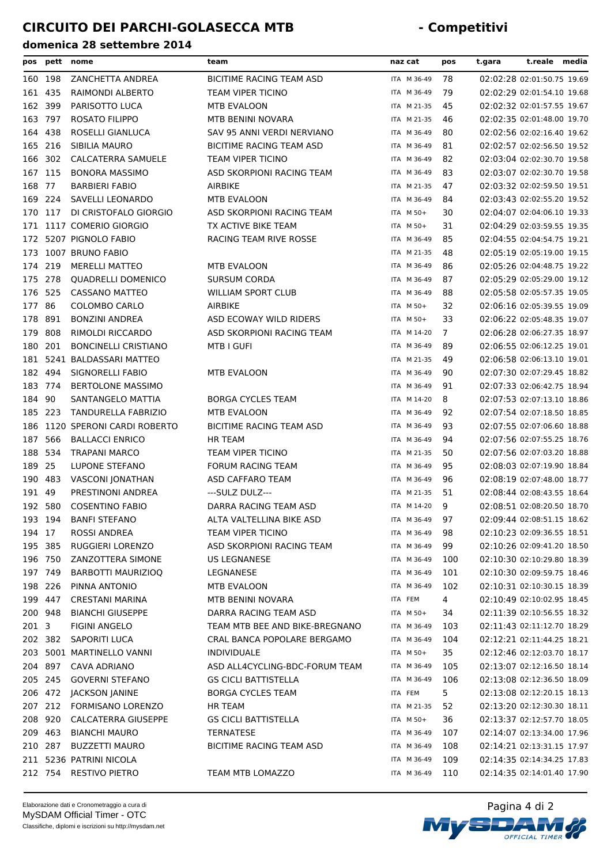| pos     | pett    | nome                        | team                           | naz cat     | pos            | t.gara | t.reale media              |  |
|---------|---------|-----------------------------|--------------------------------|-------------|----------------|--------|----------------------------|--|
| 160 198 |         | ZANCHETTA ANDREA            | BICITIME RACING TEAM ASD       | ITA M 36-49 | 78             |        | 02:02:28 02:01:50.75 19.69 |  |
| 161 435 |         | RAIMONDI ALBERTO            | TEAM VIPER TICINO              | ITA M 36-49 | 79             |        | 02:02:29 02:01:54.10 19.68 |  |
| 162     | 399     | PARISOTTO LUCA              | MTB EVALOON                    | ITA M 21-35 | 45             |        | 02:02:32 02:01:57.55 19.67 |  |
| 163 797 |         | <b>ROSATO FILIPPO</b>       | MTB BENINI NOVARA              | ITA M 21-35 | 46             |        | 02:02:35 02:01:48.00 19.70 |  |
| 164     | 438     | ROSELLI GIANLUCA            | SAV 95 ANNI VERDI NERVIANO     | ITA M 36-49 | 80             |        | 02:02:56 02:02:16.40 19.62 |  |
| 165 216 |         | SIBILIA MAURO               | BICITIME RACING TEAM ASD       | ITA M 36-49 | 81             |        | 02:02:57 02:02:56.50 19.52 |  |
| 166 302 |         | CALCATERRA SAMUELE          | TEAM VIPER TICINO              | ITA M 36-49 | 82             |        | 02:03:04 02:02:30.70 19.58 |  |
| 167     | 115     | <b>BONORA MASSIMO</b>       | ASD SKORPIONI RACING TEAM      | ITA M 36-49 | 83             |        | 02:03:07 02:02:30.70 19.58 |  |
| 168     | 77      | <b>BARBIERI FABIO</b>       | AIRBIKE                        | ITA M 21-35 | 47             |        | 02:03:32 02:02:59.50 19.51 |  |
| 169 224 |         | SAVELLI LEONARDO            | MTB EVALOON                    | ITA M 36-49 | 84             |        | 02:03:43 02:02:55.20 19.52 |  |
| 170 117 |         | DI CRISTOFALO GIORGIO       | ASD SKORPIONI RACING TEAM      | ITA M 50+   | 30             |        | 02:04:07 02:04:06.10 19.33 |  |
|         |         | 171 1117 COMERIO GIORGIO    | TX ACTIVE BIKE TEAM            | ITA M 50+   | 31             |        | 02:04:29 02:03:59.55 19.35 |  |
|         |         | 172 5207 PIGNOLO FABIO      | RACING TEAM RIVE ROSSE         | ITA M 36-49 | 85             |        | 02:04:55 02:04:54.75 19.21 |  |
| 173     |         | 1007 BRUNO FABIO            |                                | ITA M 21-35 | 48             |        | 02:05:19 02:05:19.00 19.15 |  |
| 174     | 219     | <b>MERELLI MATTEO</b>       | MTB EVALOON                    | ITA M 36-49 | 86             |        | 02:05:26 02:04:48.75 19.22 |  |
| 175     | 278     | <b>QUADRELLI DOMENICO</b>   | <b>SURSUM CORDA</b>            | ITA M 36-49 | 87             |        | 02:05:29 02:05:29.00 19.12 |  |
| 176     | 525     | <b>CASSANO MATTEO</b>       | <b>WILLIAM SPORT CLUB</b>      | ITA M 36-49 | 88             |        | 02:05:58 02:05:57.35 19.05 |  |
| 177     | 86      | <b>COLOMBO CARLO</b>        | AIRBIKE                        | ITA M 50+   | 32             |        | 02:06:16 02:05:39.55 19.09 |  |
| 178     | 891     | <b>BONZINI ANDREA</b>       | ASD ECOWAY WILD RIDERS         | ITA M 50+   | 33             |        | 02:06:22 02:05:48.35 19.07 |  |
| 179     | 808     | RIMOLDI RICCARDO            | ASD SKORPIONI RACING TEAM      | ITA M 14-20 | $\overline{7}$ |        | 02:06:28 02:06:27.35 18.97 |  |
| 180     | 201     | <b>BONCINELLI CRISTIANO</b> | MTB I GUFI                     | ITA M 36-49 | 89             |        | 02:06:55 02:06:12.25 19.01 |  |
| 181     |         | 5241 BALDASSARI MATTEO      |                                | ITA M 21-35 | 49             |        | 02:06:58 02:06:13.10 19.01 |  |
| 182 494 |         | SIGNORELLI FABIO            | MTB EVALOON                    | ITA M 36-49 | 90             |        | 02:07:30 02:07:29.45 18.82 |  |
| 183 774 |         | <b>BERTOLONE MASSIMO</b>    |                                | ITA M 36-49 | 91             |        | 02:07:33 02:06:42.75 18.94 |  |
| 184 90  |         | SANTANGELO MATTIA           | <b>BORGA CYCLES TEAM</b>       | ITA M 14-20 | 8              |        | 02:07:53 02:07:13.10 18.86 |  |
| 185 223 |         | <b>TANDURELLA FABRIZIO</b>  | MTB EVALOON                    | ITA M 36-49 | 92             |        | 02:07:54 02:07:18.50 18.85 |  |
| 186     |         | 1120 SPERONI CARDI ROBERTO  | BICITIME RACING TEAM ASD       | ITA M 36-49 | 93             |        | 02:07:55 02:07:06.60 18.88 |  |
| 187     | 566     | <b>BALLACCI ENRICO</b>      | <b>HR TEAM</b>                 | ITA M 36-49 | 94             |        | 02:07:56 02:07:55.25 18.76 |  |
| 188     | 534     | <b>TRAPANI MARCO</b>        | TEAM VIPER TICINO              | ITA M 21-35 | 50             |        | 02:07:56 02:07:03.20 18.88 |  |
| 189 25  |         | LUPONE STEFANO              | <b>FORUM RACING TEAM</b>       | ITA M 36-49 | 95             |        | 02:08:03 02:07:19.90 18.84 |  |
| 190 483 |         | VASCONI JONATHAN            | ASD CAFFARO TEAM               | ITA M 36-49 | 96             |        | 02:08:19 02:07:48.00 18.77 |  |
| 191 49  |         | PRESTINONI ANDREA           | ---SULZ DULZ---                | ITA M 21-35 | 51             |        | 02:08:44 02:08:43.55 18.64 |  |
| 192 580 |         | <b>COSENTINO FABIO</b>      | DARRA RACING TEAM ASD          | ITA M 14-20 | 9              |        | 02:08:51 02:08:20.50 18.70 |  |
|         | 193 194 | <b>BANFI STEFANO</b>        | ALTA VALTELLINA BIKE ASD       | ITA M 36-49 | 97             |        | 02:09:44 02:08:51.15 18.62 |  |
| 194 17  |         | ROSSI ANDREA                | <b>TEAM VIPER TICINO</b>       | ITA M 36-49 | 98             |        | 02:10:23 02:09:36.55 18.51 |  |
| 195 385 |         | RUGGIERI LORENZO            | ASD SKORPIONI RACING TEAM      | ITA M 36-49 | 99             |        | 02:10:26 02:09:41.20 18.50 |  |
| 196 750 |         | ZANZOTTERA SIMONE           | <b>US LEGNANESE</b>            | ITA M 36-49 | 100            |        | 02:10:30 02:10:29.80 18.39 |  |
| 197 749 |         | <b>BARBOTTI MAURIZIOQ</b>   | LEGNANESE                      | ITA M 36-49 | 101            |        | 02:10:30 02:09:59.75 18.46 |  |
| 198 226 |         | PINNA ANTONIO               | MTB EVALOON                    | ITA M 36-49 | 102            |        | 02:10:31 02:10:30.15 18.39 |  |
| 199 447 |         | <b>CRESTANI MARINA</b>      | MTB BENINI NOVARA              | ITA FEM     | 4              |        | 02:10:49 02:10:02.95 18.45 |  |
| 200 948 |         | <b>BIANCHI GIUSEPPE</b>     | DARRA RACING TEAM ASD          | ITA M 50+   | 34             |        | 02:11:39 02:10:56.55 18.32 |  |
| 201 3   |         | <b>FIGINI ANGELO</b>        | TEAM MTB BEE AND BIKE-BREGNANO | ITA M 36-49 | 103            |        | 02:11:43 02:11:12.70 18.29 |  |
|         | 202 382 | <b>SAPORITI LUCA</b>        | CRAL BANCA POPOLARE BERGAMO    | ITA M 36-49 | 104            |        | 02:12:21 02:11:44.25 18.21 |  |
|         |         | 203 5001 MARTINELLO VANNI   | <b>INDIVIDUALE</b>             | ITA M 50+   | 35             |        | 02:12:46 02:12:03.70 18.17 |  |
|         | 204 897 | CAVA ADRIANO                | ASD ALL4CYCLING-BDC-FORUM TEAM | ITA M 36-49 | 105            |        | 02:13:07 02:12:16.50 18.14 |  |
| 205 245 |         | <b>GOVERNI STEFANO</b>      | <b>GS CICLI BATTISTELLA</b>    | ITA M 36-49 | 106            |        | 02:13:08 02:12:36.50 18.09 |  |
|         | 206 472 | JACKSON JANINE              | <b>BORGA CYCLES TEAM</b>       | ITA FEM     | 5.             |        | 02:13:08 02:12:20.15 18.13 |  |
|         | 207 212 | FORMISANO LORENZO           | HR TEAM                        | ITA M 21-35 | 52             |        | 02:13:20 02:12:30.30 18.11 |  |
| 208 920 |         | CALCATERRA GIUSEPPE         | <b>GS CICLI BATTISTELLA</b>    | ITA M 50+   | 36             |        | 02:13:37 02:12:57.70 18.05 |  |
| 209 463 |         | <b>BIANCHI MAURO</b>        | <b>TERNATESE</b>               | ITA M 36-49 | 107            |        | 02:14:07 02:13:34.00 17.96 |  |
|         | 210 287 | <b>BUZZETTI MAURO</b>       | BICITIME RACING TEAM ASD       | ITA M 36-49 | 108            |        | 02:14:21 02:13:31.15 17.97 |  |
|         |         | 211 5236 PATRINI NICOLA     |                                | ITA M 36-49 | 109            |        | 02:14:35 02:14:34.25 17.83 |  |
|         |         | 212 754 RESTIVO PIETRO      | TEAM MTB LOMAZZO               | ITA M 36-49 | 110            |        | 02:14:35 02:14:01.40 17.90 |  |

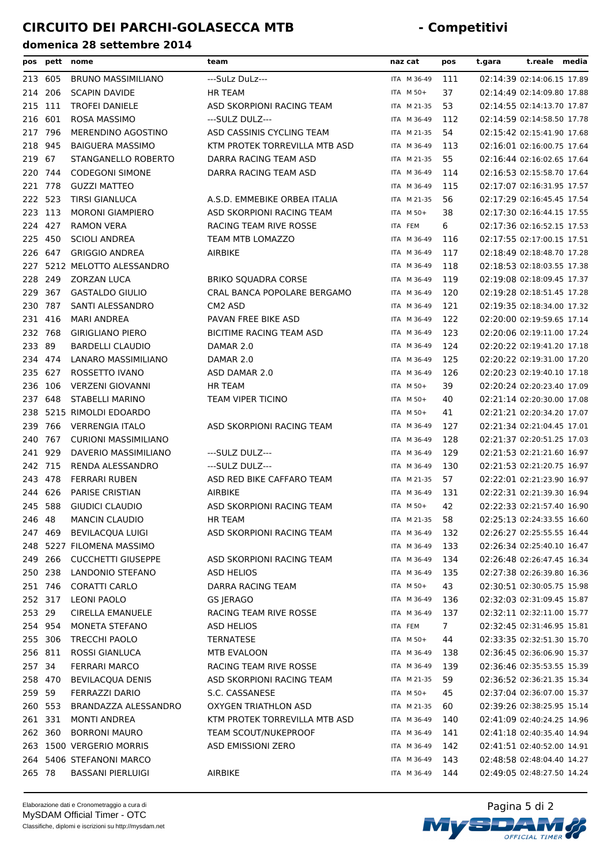| pos     | pett    | nome                        | team                          | naz cat     | pos            | t.gara | t.reale media              |  |
|---------|---------|-----------------------------|-------------------------------|-------------|----------------|--------|----------------------------|--|
|         | 213 605 | <b>BRUNO MASSIMILIANO</b>   | ---SuLz DuLz---               | ITA M 36-49 | 111            |        | 02:14:39 02:14:06.15 17.89 |  |
|         | 214 206 | <b>SCAPIN DAVIDE</b>        | <b>HR TEAM</b>                | ITA M 50+   | 37             |        | 02:14:49 02:14:09.80 17.88 |  |
| 215     | 111     | <b>TROFEI DANIELE</b>       | ASD SKORPIONI RACING TEAM     | ITA M 21-35 | 53             |        | 02:14:55 02:14:13.70 17.87 |  |
| 216     | 601     | ROSA MASSIMO                | ---SULZ DULZ---               | ITA M 36-49 | 112            |        | 02:14:59 02:14:58.50 17.78 |  |
| 217     | 796     | MERENDINO AGOSTINO          | ASD CASSINIS CYCLING TEAM     | ITA M 21-35 | 54             |        | 02:15:42 02:15:41.90 17.68 |  |
| 218     | 945     | <b>BAIGUERA MASSIMO</b>     | KTM PROTEK TORREVILLA MTB ASD | ITA M 36-49 | 113            |        | 02:16:01 02:16:00.75 17.64 |  |
| 219     | 67      | STANGANELLO ROBERTO         | DARRA RACING TEAM ASD         | ITA M 21-35 | 55             |        | 02:16:44 02:16:02.65 17.64 |  |
|         | 220 744 | <b>CODEGONI SIMONE</b>      | DARRA RACING TEAM ASD         | ITA M 36-49 | 114            |        | 02:16:53 02:15:58.70 17.64 |  |
|         | 221 778 | <b>GUZZI MATTEO</b>         |                               | ITA M 36-49 | 115            |        | 02:17:07 02:16:31.95 17.57 |  |
| 222     | 523     | <b>TIRSI GIANLUCA</b>       | A.S.D. EMMEBIKE ORBEA ITALIA  | ITA M 21-35 | 56             |        | 02:17:29 02:16:45.45 17.54 |  |
|         | 223 113 | <b>MORONI GIAMPIERO</b>     | ASD SKORPIONI RACING TEAM     | ITA M 50+   | 38             |        | 02:17:30 02:16:44.15 17.55 |  |
| 224 427 |         | <b>RAMON VERA</b>           | RACING TEAM RIVE ROSSE        | ITA FEM     | 6              |        | 02:17:36 02:16:52.15 17.53 |  |
|         | 225 450 | <b>SCIOLI ANDREA</b>        | <b>TEAM MTB LOMAZZO</b>       | ITA M 36-49 | 116            |        | 02:17:55 02:17:00.15 17.51 |  |
|         | 226 647 | <b>GRIGGIO ANDREA</b>       | AIRBIKE                       | ITA M 36-49 | 117            |        | 02:18:49 02:18:48.70 17.28 |  |
| 227     |         | 5212 MELOTTO ALESSANDRO     |                               | ITA M 36-49 | 118            |        | 02:18:53 02:18:03.55 17.38 |  |
| 228     | 249     | ZORZAN LUCA                 | <b>BRIKO SQUADRA CORSE</b>    | ITA M 36-49 | 119            |        | 02:19:08 02:18:09.45 17.37 |  |
| 229     | 367     | <b>GASTALDO GIULIO</b>      | CRAL BANCA POPOLARE BERGAMO   | ITA M 36-49 | 120            |        | 02:19:28 02:18:51.45 17.28 |  |
| 230     | 787     | SANTI ALESSANDRO            | CM <sub>2</sub> ASD           | ITA M 36-49 | 121            |        | 02:19:35 02:18:34.00 17.32 |  |
|         | 231 416 | <b>MARI ANDREA</b>          | PAVAN FREE BIKE ASD           | ITA M 36-49 | 122            |        | 02:20:00 02:19:59.65 17.14 |  |
|         | 232 768 | <b>GIRIGLIANO PIERO</b>     | BICITIME RACING TEAM ASD      | ITA M 36-49 | 123            |        | 02:20:06 02:19:11.00 17.24 |  |
| 233 89  |         | <b>BARDELLI CLAUDIO</b>     | DAMAR 2.0                     | ITA M 36-49 | 124            |        | 02:20:22 02:19:41.20 17.18 |  |
| 234     | 474     | LANARO MASSIMILIANO         | DAMAR 2.0                     | ITA M 36-49 | 125            |        | 02:20:22 02:19:31.00 17.20 |  |
|         | 235 627 | ROSSETTO IVANO              | ASD DAMAR 2.0                 | ITA M 36-49 | 126            |        | 02:20:23 02:19:40.10 17.18 |  |
|         | 236 106 | <b>VERZENI GIOVANNI</b>     | <b>HR TEAM</b>                | ITA M 50+   | 39             |        | 02:20:24 02:20:23.40 17.09 |  |
|         | 237 648 | STABELLI MARINO             | TEAM VIPER TICINO             | ITA M 50+   | 40             |        | 02:21:14 02:20:30.00 17.08 |  |
|         |         | 238 5215 RIMOLDI EDOARDO    |                               | ITA M 50+   | 41             |        | 02:21:21 02:20:34.20 17.07 |  |
|         | 766     |                             |                               |             |                |        |                            |  |
| 239     | 767     | <b>VERRENGIA ITALO</b>      | ASD SKORPIONI RACING TEAM     | ITA M 36-49 | 127            |        | 02:21:34 02:21:04.45 17.01 |  |
| 240     |         | <b>CURIONI MASSIMILIANO</b> |                               | ITA M 36-49 | 128            |        | 02:21:37 02:20:51.25 17.03 |  |
|         | 241 929 | DAVERIO MASSIMILIANO        | ---SULZ DULZ---               | ITA M 36-49 | 129            |        | 02:21:53 02:21:21.60 16.97 |  |
| 242 715 |         | RENDA ALESSANDRO            | ---SULZ DULZ---               | ITA M 36-49 | 130            |        | 02:21:53 02:21:20.75 16.97 |  |
|         | 243 478 | <b>FERRARI RUBEN</b>        | ASD RED BIKE CAFFARO TEAM     | ITA M 21-35 | 57             |        | 02:22:01 02:21:23.90 16.97 |  |
|         | 244 626 | <b>PARISE CRISTIAN</b>      | AIRBIKE                       | ITA M 36-49 | 131            |        | 02:22:31 02:21:39.30 16.94 |  |
|         | 245 588 | <b>GIUDICI CLAUDIO</b>      | ASD SKORPIONI RACING TEAM     | ITA M 50+   | 42             |        | 02:22:33 02:21:57.40 16.90 |  |
| 246 48  |         | <b>MANCIN CLAUDIO</b>       | HR TEAM                       | ITA M 21-35 | 58             |        | 02:25:13 02:24:33.55 16.60 |  |
|         |         | 247 469 BEVILACQUA LUIGI    | ASD SKORPIONI RACING TEAM     | ITA M 36-49 | 132            |        | 02:26:27 02:25:55.55 16.44 |  |
|         |         | 248 5227 FILOMENA MASSIMO   |                               | ITA M 36-49 | 133            |        | 02:26:34 02:25:40.10 16.47 |  |
|         | 249 266 | <b>CUCCHETTI GIUSEPPE</b>   | ASD SKORPIONI RACING TEAM     | ITA M 36-49 | 134            |        | 02:26:48 02:26:47.45 16.34 |  |
|         | 250 238 | LANDONIO STEFANO            | <b>ASD HELIOS</b>             | ITA M 36-49 | 135            |        | 02:27:38 02:26:39.80 16.36 |  |
|         | 251 746 | <b>CORATTI CARLO</b>        | DARRA RACING TEAM             | ITA M 50+   | 43             |        | 02:30:51 02:30:05.75 15.98 |  |
|         | 252 317 | <b>LEONI PAOLO</b>          | GS JERAGO                     | ITA M 36-49 | 136            |        | 02:32:03 02:31:09.45 15.87 |  |
| 253 29  |         | <b>CIRELLA EMANUELE</b>     | RACING TEAM RIVE ROSSE        | ITA M 36-49 | 137            |        | 02:32:11 02:32:11.00 15.77 |  |
|         | 254 954 | MONETA STEFANO              | <b>ASD HELIOS</b>             | ITA FEM     | 7 <sup>7</sup> |        | 02:32:45 02:31:46.95 15.81 |  |
|         | 255 306 | <b>TRECCHI PAOLO</b>        | <b>TERNATESE</b>              | ITA M 50+   | 44             |        | 02:33:35 02:32:51.30 15.70 |  |
|         | 256 811 | <b>ROSSI GIANLUCA</b>       | MTB EVALOON                   | ITA M 36-49 | 138            |        | 02:36:45 02:36:06.90 15.37 |  |
| 257 34  |         | <b>FERRARI MARCO</b>        | RACING TEAM RIVE ROSSE        | ITA M 36-49 | 139            |        | 02:36:46 02:35:53.55 15.39 |  |
|         | 258 470 | <b>BEVILACQUA DENIS</b>     | ASD SKORPIONI RACING TEAM     | ITA M 21-35 | 59             |        | 02:36:52 02:36:21.35 15.34 |  |
| 259 59  |         | FERRAZZI DARIO              | S.C. CASSANESE                | ITA M 50+   | 45             |        | 02:37:04 02:36:07.00 15.37 |  |
|         | 260 553 | BRANDAZZA ALESSANDRO        | <b>OXYGEN TRIATHLON ASD</b>   | ITA M 21-35 | 60             |        | 02:39:26 02:38:25.95 15.14 |  |
|         | 261 331 | <b>MONTI ANDREA</b>         | KTM PROTEK TORREVILLA MTB ASD | ITA M 36-49 | 140            |        | 02:41:09 02:40:24.25 14.96 |  |
|         | 262 360 | <b>BORRONI MAURO</b>        | <b>TEAM SCOUT/NUKEPROOF</b>   | ITA M 36-49 | 141            |        | 02:41:18 02:40:35.40 14.94 |  |
|         |         | 263 1500 VERGERIO MORRIS    | ASD EMISSIONI ZERO            | ITA M 36-49 | 142            |        | 02:41:51 02:40:52.00 14.91 |  |
|         |         | 264 5406 STEFANONI MARCO    |                               | ITA M 36-49 | 143            |        | 02:48:58 02:48:04.40 14.27 |  |
| 265 78  |         | <b>BASSANI PIERLUIGI</b>    | AIRBIKE                       | ITA M 36-49 | 144            |        | 02:49:05 02:48:27.50 14.24 |  |
|         |         |                             |                               |             |                |        |                            |  |

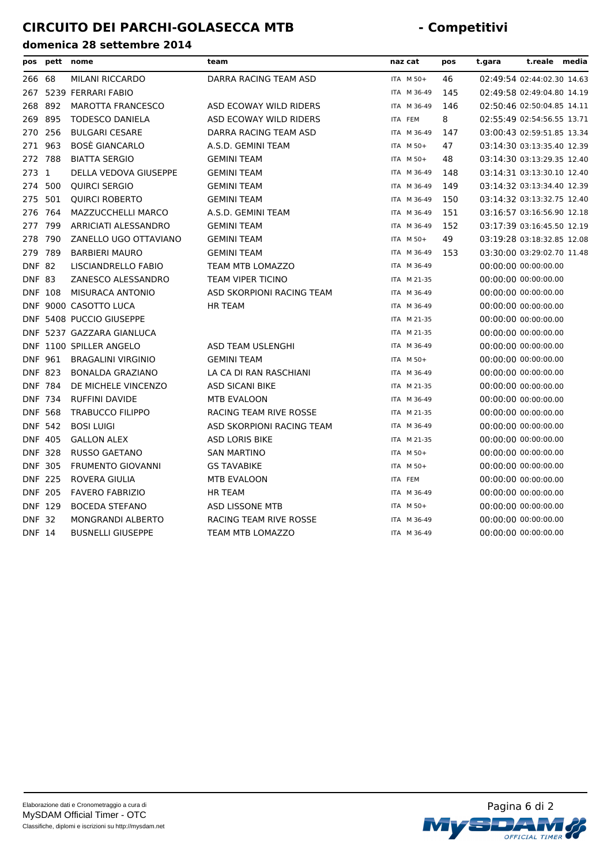| pos            |                | pett nome                 | team                          | naz cat     | pos | t.gara | t.reale                    | media |
|----------------|----------------|---------------------------|-------------------------------|-------------|-----|--------|----------------------------|-------|
| 266 68         |                | MILANI RICCARDO           | DARRA RACING TEAM ASD         | ITA M 50+   | 46  |        | 02:49:54 02:44:02.30 14.63 |       |
| 267            |                | 5239 FERRARI FABIO        |                               | ITA M 36-49 | 145 |        | 02:49:58 02:49:04.80 14.19 |       |
| 268            | 892            | <b>MAROTTA FRANCESCO</b>  | ASD ECOWAY WILD RIDERS        | ITA M 36-49 | 146 |        | 02:50:46 02:50:04.85 14.11 |       |
| 269            | 895            | <b>TODESCO DANIELA</b>    | ASD ECOWAY WILD RIDERS        | ITA FEM     | 8   |        | 02:55:49 02:54:56.55 13.71 |       |
| 270            | 256            | <b>BULGARI CESARE</b>     | DARRA RACING TEAM ASD         | ITA M 36-49 | 147 |        | 03:00:43 02:59:51.85 13.34 |       |
| 271            | 963            | <b>BOSÈ GIANCARLO</b>     | A.S.D. GEMINI TEAM            | ITA M 50+   | 47  |        | 03:14:30 03:13:35.40 12.39 |       |
| 272            | 788            | <b>BIATTA SERGIO</b>      | <b>GEMINI TEAM</b>            | ITA M 50+   | 48  |        | 03:14:30 03:13:29.35 12.40 |       |
| 273            | 1              | DELLA VEDOVA GIUSEPPE     | <b>GEMINI TEAM</b>            | ITA M 36-49 | 148 |        | 03:14:31 03:13:30.10 12.40 |       |
| 274            | 500            | <b>QUIRCI SERGIO</b>      | <b>GEMINI TEAM</b>            | ITA M 36-49 | 149 |        | 03:14:32 03:13:34.40 12.39 |       |
| 275            | 501            | <b>QUIRCI ROBERTO</b>     | <b>GEMINI TEAM</b>            | ITA M 36-49 | 150 |        | 03:14:32 03:13:32.75 12.40 |       |
| 276            | 764            | MAZZUCCHELLI MARCO        | A.S.D. GEMINI TEAM            | ITA M 36-49 | 151 |        | 03:16:57 03:16:56.90 12.18 |       |
| 277            | 799            | ARRICIATI ALESSANDRO      | <b>GEMINI TEAM</b>            | ITA M 36-49 | 152 |        | 03:17:39 03:16:45.50 12.19 |       |
| 278            | 790            | ZANELLO UGO OTTAVIANO     | <b>GEMINI TEAM</b>            | ITA M 50+   | 49  |        | 03:19:28 03:18:32.85 12.08 |       |
| 279            | 789            | <b>BARBIERI MAURO</b>     | <b>GEMINI TEAM</b>            | ITA M 36-49 | 153 |        | 03:30:00 03:29:02.70 11.48 |       |
| <b>DNF 82</b>  |                | LISCIANDRELLO FABIO       | TEAM MTB LOMAZZO              | ITA M 36-49 |     |        | 00:00:00 00:00:00.00       |       |
| <b>DNF 83</b>  |                | ZANESCO ALESSANDRO        | <b>TEAM VIPER TICINO</b>      | ITA M 21-35 |     |        | 00:00:00 00:00:00.00       |       |
|                | <b>DNF 108</b> | MISURACA ANTONIO          | ASD SKORPIONI RACING TEAM     | ITA M 36-49 |     |        | 00:00:00 00:00:00.00       |       |
|                |                | DNF 9000 CASOTTO LUCA     | <b>HR TEAM</b>                | ITA M 36-49 |     |        | 00:00:00 00:00:00.00       |       |
|                |                | DNF 5408 PUCCIO GIUSEPPE  |                               | ITA M 21-35 |     |        | 00:00:00 00:00:00.00       |       |
|                |                | DNF 5237 GAZZARA GIANLUCA |                               | ITA M 21-35 |     |        | 00:00:00 00:00:00.00       |       |
|                |                | DNF 1100 SPILLER ANGELO   | ASD TEAM USLENGHI             | ITA M 36-49 |     |        | 00:00:00 00:00:00.00       |       |
|                | <b>DNF 961</b> | <b>BRAGALINI VIRGINIO</b> | <b>GEMINI TEAM</b>            | ITA M 50+   |     |        | 00:00:00 00:00:00.00       |       |
|                | <b>DNF 823</b> | <b>BONALDA GRAZIANO</b>   | LA CA DI RAN RASCHIANI        | ITA M 36-49 |     |        | 00:00:00 00:00:00.00       |       |
|                | <b>DNF 784</b> | DE MICHELE VINCENZO       | <b>ASD SICANI BIKE</b>        | ITA M 21-35 |     |        | 00:00:00 00:00:00.00       |       |
|                | <b>DNF 734</b> | <b>RUFFINI DAVIDE</b>     | <b>MTB EVALOON</b>            | ITA M 36-49 |     |        | 00:00:00 00:00:00.00       |       |
|                | <b>DNF 568</b> | <b>TRABUCCO FILIPPO</b>   | <b>RACING TEAM RIVE ROSSE</b> | ITA M 21-35 |     |        | 00:00:00 00:00:00.00       |       |
|                | <b>DNF 542</b> | <b>BOSI LUIGI</b>         | ASD SKORPIONI RACING TEAM     | ITA M 36-49 |     |        | 00:00:00 00:00:00.00       |       |
|                | <b>DNF 405</b> | <b>GALLON ALEX</b>        | <b>ASD LORIS BIKE</b>         | ITA M 21-35 |     |        | 00:00:00 00:00:00.00       |       |
|                | <b>DNF 328</b> | <b>RUSSO GAETANO</b>      | <b>SAN MARTINO</b>            | ITA M 50+   |     |        | 00:00:00 00:00:00.00       |       |
|                | <b>DNF 305</b> | <b>FRUMENTO GIOVANNI</b>  | <b>GS TAVABIKE</b>            | ITA M 50+   |     |        | 00:00:00 00:00:00.00       |       |
|                | <b>DNF 225</b> | ROVERA GIULIA             | <b>MTB EVALOON</b>            | ITA FEM     |     |        | 00:00:00 00:00:00.00       |       |
| <b>DNF 205</b> |                | <b>FAVERO FABRIZIO</b>    | <b>HR TEAM</b>                | ITA M 36-49 |     |        | 00:00:00 00:00:00.00       |       |
|                | <b>DNF 129</b> | <b>BOCEDA STEFANO</b>     | ASD LISSONE MTB               | ITA M 50+   |     |        | 00:00:00 00:00:00.00       |       |
| <b>DNF 32</b>  |                | <b>MONGRANDI ALBERTO</b>  | RACING TEAM RIVE ROSSE        | ITA M 36-49 |     |        | 00:00:00 00:00:00.00       |       |
| <b>DNF 14</b>  |                | <b>BUSNELLI GIUSEPPE</b>  | <b>TEAM MTB LOMAZZO</b>       | ITA M 36-49 |     |        | 00:00:00 00:00:00.00       |       |

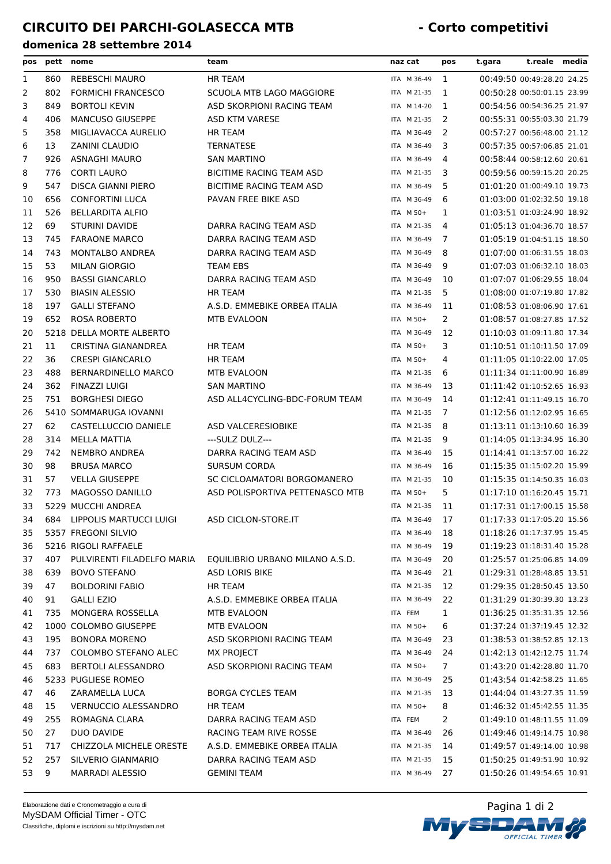| pos            |     | pett nome                   | team                            | naz cat     | pos                   | t.gara                     | t.reale media |  |
|----------------|-----|-----------------------------|---------------------------------|-------------|-----------------------|----------------------------|---------------|--|
| 1              | 860 | <b>REBESCHI MAURO</b>       | <b>HR TEAM</b>                  | ITA M 36-49 | -1                    | 00:49:50 00:49:28.20 24.25 |               |  |
| 2              | 802 | <b>FORMICHI FRANCESCO</b>   | SCUOLA MTB LAGO MAGGIORE        | ITA M 21-35 | 1                     | 00:50:28 00:50:01.15 23.99 |               |  |
| 3              | 849 | <b>BORTOLI KEVIN</b>        | ASD SKORPIONI RACING TEAM       | ITA M 14-20 | 1                     | 00:54:56 00:54:36.25 21.97 |               |  |
| 4              | 406 | <b>MANCUSO GIUSEPPE</b>     | ASD KTM VARESE                  | ITA M 21-35 | 2                     | 00:55:31 00:55:03.30 21.79 |               |  |
| 5              | 358 | MIGLIAVACCA AURELIO         | <b>HR TEAM</b>                  | ITA M 36-49 | 2                     | 00:57:27 00:56:48.00 21.12 |               |  |
| 6              | 13  | <b>ZANINI CLAUDIO</b>       | <b>TERNATESE</b>                | ITA M 36-49 | 3                     | 00:57:35 00:57:06.85 21.01 |               |  |
| $\overline{7}$ | 926 | <b>ASNAGHI MAURO</b>        | <b>SAN MARTINO</b>              | ITA M 36-49 | 4                     | 00:58:44 00:58:12.60 20.61 |               |  |
| 8              | 776 | <b>CORTI LAURO</b>          | BICITIME RACING TEAM ASD        | ITA M 21-35 | 3                     | 00:59:56 00:59:15.20 20.25 |               |  |
| 9              | 547 | DISCA GIANNI PIERO          | BICITIME RACING TEAM ASD        | ITA M 36-49 | 5                     | 01:01:20 01:00:49.10 19.73 |               |  |
| 10             | 656 | <b>CONFORTINI LUCA</b>      | PAVAN FREE BIKE ASD             | ITA M 36-49 | 6                     | 01:03:00 01:02:32.50 19.18 |               |  |
| 11             | 526 | <b>BELLARDITA ALFIO</b>     |                                 | ITA M 50+   | 1                     | 01:03:51 01:03:24.90 18.92 |               |  |
| 12             | 69  | <b>STURINI DAVIDE</b>       | DARRA RACING TEAM ASD           | ITA M 21-35 | 4                     | 01:05:13 01:04:36.70 18.57 |               |  |
| 13             | 745 | <b>FARAONE MARCO</b>        | DARRA RACING TEAM ASD           | ITA M 36-49 | 7                     | 01:05:19 01:04:51.15 18.50 |               |  |
| 14             | 743 | <b>MONTALBO ANDREA</b>      | DARRA RACING TEAM ASD           | ITA M 36-49 | 8                     | 01:07:00 01:06:31.55 18.03 |               |  |
| 15             | 53  | <b>MILAN GIORGIO</b>        | <b>TEAM EBS</b>                 | ITA M 36-49 | 9                     | 01:07:03 01:06:32.10 18.03 |               |  |
| 16             | 950 | <b>BASSI GIANCARLO</b>      | DARRA RACING TEAM ASD           | ITA M 36-49 | 10                    | 01:07:07 01:06:29.55 18.04 |               |  |
| 17             | 530 | <b>BIASIN ALESSIO</b>       | <b>HR TEAM</b>                  | ITA M 21-35 | 5                     | 01:08:00 01:07:19.80 17.82 |               |  |
| 18             | 197 | <b>GALLI STEFANO</b>        | A.S.D. EMMEBIKE ORBEA ITALIA    | ITA M 36-49 | 11                    | 01:08:53 01:08:06.90 17.61 |               |  |
| 19             | 652 | <b>ROSA ROBERTO</b>         | MTB EVALOON                     | ITA M 50+   | $\mathbf{2}^{\prime}$ | 01:08:57 01:08:27.85 17.52 |               |  |
| 20             |     | 5218 DELLA MORTE ALBERTO    |                                 | ITA M 36-49 | 12                    | 01:10:03 01:09:11.80 17.34 |               |  |
| 21             | 11  | CRISTINA GIANANDREA         | <b>HR TEAM</b>                  | ITA M 50+   | 3                     | 01:10:51 01:10:11.50 17.09 |               |  |
| 22             | 36  | <b>CRESPI GIANCARLO</b>     | <b>HR TEAM</b>                  | ITA M 50+   | 4                     | 01:11:05 01:10:22.00 17.05 |               |  |
| 23             | 488 | <b>BERNARDINELLO MARCO</b>  | <b>MTB EVALOON</b>              | ITA M 21-35 | 6                     | 01:11:34 01:11:00.90 16.89 |               |  |
| 24             | 362 | FINAZZI LUIGI               | <b>SAN MARTINO</b>              | ITA M 36-49 | 13                    | 01:11:42 01:10:52.65 16.93 |               |  |
| 25             | 751 | <b>BORGHESI DIEGO</b>       | ASD ALL4CYCLING-BDC-FORUM TEAM  | ITA M 36-49 | 14                    | 01:12:41 01:11:49.15 16.70 |               |  |
| 26             |     | 5410 SOMMARUGA IOVANNI      |                                 | ITA M 21-35 | 7                     | 01:12:56 01:12:02.95 16.65 |               |  |
| 27             | 62  | CASTELLUCCIO DANIELE        | ASD VALCERESIOBIKE              | ITA M 21-35 | 8                     | 01:13:11 01:13:10.60 16.39 |               |  |
| 28             | 314 | MELLA MATTIA                | ---SULZ DULZ---                 | ITA M 21-35 | 9                     | 01:14:05 01:13:34.95 16.30 |               |  |
| 29             | 742 | <b>NEMBRO ANDREA</b>        | DARRA RACING TEAM ASD           | ITA M 36-49 | 15                    | 01:14:41 01:13:57.00 16.22 |               |  |
| 30             | 98  | <b>BRUSA MARCO</b>          | <b>SURSUM CORDA</b>             | ITA M 36-49 | 16                    | 01:15:35 01:15:02.20 15.99 |               |  |
| 31             | 57  | <b>VELLA GIUSEPPE</b>       | SC CICLOAMATORI BORGOMANERO     | ITA M 21-35 | 10                    | 01:15:35 01:14:50.35 16.03 |               |  |
| 32             | 773 | MAGOSSO DANILLO             | ASD POLISPORTIVA PETTENASCO MTB | ITA M 50+   | 5.                    | 01:17:10 01:16:20.45 15.71 |               |  |
| 33             |     | 5229 MUCCHI ANDREA          |                                 | ITA M 21-35 | 11                    | 01:17:31 01:17:00.15 15.58 |               |  |
| 34             | 684 | LIPPOLIS MARTUCCI LUIGI     | ASD CICLON-STORE.IT             | ITA M 36-49 | 17                    | 01:17:33 01:17:05.20 15.56 |               |  |
| 35             |     | 5357 FREGONI SILVIO         |                                 | ITA M 36-49 | 18                    | 01:18:26 01:17:37.95 15.45 |               |  |
| 36             |     | 5216 RIGOLI RAFFAELE        |                                 | ITA M 36-49 | 19                    | 01:19:23 01:18:31.40 15.28 |               |  |
| 37             | 407 | PULVIRENTI FILADELFO MARIA  | EQUILIBRIO URBANO MILANO A.S.D. | ITA M 36-49 | 20                    | 01:25:57 01:25:06.85 14.09 |               |  |
| 38             | 639 | <b>BOVO STEFANO</b>         | <b>ASD LORIS BIKE</b>           | ITA M 36-49 | 21                    | 01:29:31 01:28:48.85 13.51 |               |  |
| 39             | 47  | <b>BOLDORINI FABIO</b>      | <b>HR TEAM</b>                  | ITA M 21-35 | 12                    | 01:29:35 01:28:50.45 13.50 |               |  |
| 40             | 91  | <b>GALLI EZIO</b>           | A.S.D. EMMEBIKE ORBEA ITALIA    | ITA M 36-49 | 22                    | 01:31:29 01:30:39.30 13.23 |               |  |
| 41             | 735 | MONGERA ROSSELLA            | <b>MTB EVALOON</b>              | ITA FEM     | $\mathbf{1}$          | 01:36:25 01:35:31.35 12.56 |               |  |
| 42             |     | 1000 COLOMBO GIUSEPPE       | MTB EVALOON                     | ITA M 50+   | 6                     | 01:37:24 01:37:19.45 12.32 |               |  |
| 43             | 195 | <b>BONORA MORENO</b>        | ASD SKORPIONI RACING TEAM       | ITA M 36-49 | 23                    | 01:38:53 01:38:52.85 12.13 |               |  |
| 44             | 737 | COLOMBO STEFANO ALEC        | MX PROJECT                      | ITA M 36-49 | 24                    | 01:42:13 01:42:12.75 11.74 |               |  |
| 45             | 683 | <b>BERTOLI ALESSANDRO</b>   | ASD SKORPIONI RACING TEAM       | ITA M 50+   | 7                     | 01:43:20 01:42:28.80 11.70 |               |  |
| 46             |     | 5233 PUGLIESE ROMEO         |                                 | ITA M 36-49 | 25                    | 01:43:54 01:42:58.25 11.65 |               |  |
| 47             | 46  | ZARAMELLA LUCA              | <b>BORGA CYCLES TEAM</b>        | ITA M 21-35 | 13                    | 01:44:04 01:43:27.35 11.59 |               |  |
| 48             | 15  | <b>VERNUCCIO ALESSANDRO</b> | <b>HR TEAM</b>                  | ITA M 50+   | 8                     | 01:46:32 01:45:42.55 11.35 |               |  |
| 49             | 255 | ROMAGNA CLARA               | DARRA RACING TEAM ASD           | ITA FEM     | 2                     | 01:49:10 01:48:11.55 11.09 |               |  |
| 50             | 27  | DUO DAVIDE                  | RACING TEAM RIVE ROSSE          | ITA M 36-49 | 26                    | 01:49:46 01:49:14.75 10.98 |               |  |
| 51             | 717 | CHIZZOLA MICHELE ORESTE     | A.S.D. EMMEBIKE ORBEA ITALIA    | ITA M 21-35 | 14                    | 01:49:57 01:49:14.00 10.98 |               |  |
| 52             | 257 | SILVERIO GIANMARIO          | DARRA RACING TEAM ASD           | ITA M 21-35 | 15                    | 01:50:25 01:49:51.90 10.92 |               |  |
| 53             | 9   | <b>MARRADI ALESSIO</b>      | <b>GEMINI TEAM</b>              | ITA M 36-49 | 27                    | 01:50:26 01:49:54.65 10.91 |               |  |
|                |     |                             |                                 |             |                       |                            |               |  |

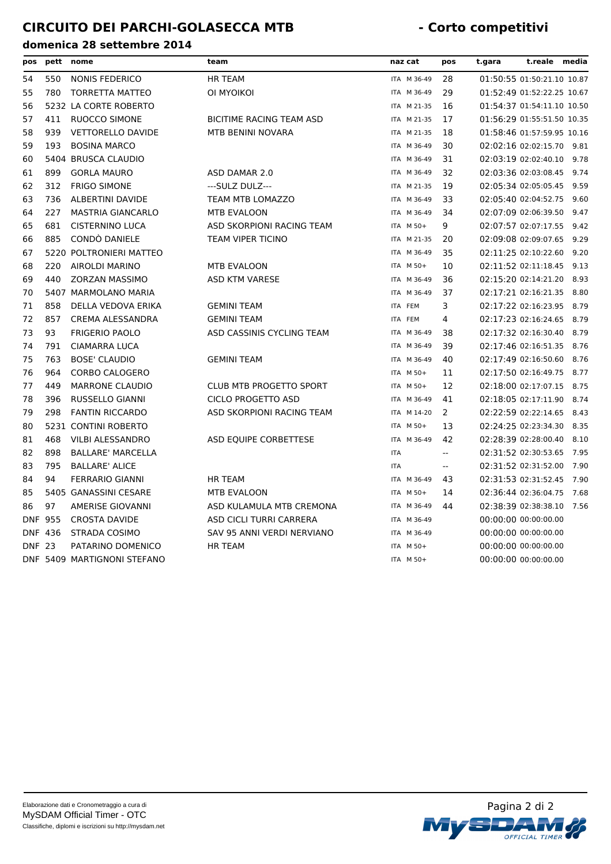| pos            | pett           | nome                        | team                           | naz cat     | pos                      | t.gara | t.reale                    | media |
|----------------|----------------|-----------------------------|--------------------------------|-------------|--------------------------|--------|----------------------------|-------|
| 54             | 550            | NONIS FEDERICO              | <b>HR TEAM</b>                 | ITA M 36-49 | 28                       |        | 01:50:55 01:50:21.10 10.87 |       |
| 55             | 780            | <b>TORRETTA MATTEO</b>      | OI MYOIKOI                     | ITA M 36-49 | 29                       |        | 01:52:49 01:52:22.25 10.67 |       |
| 56             |                | 5232 LA CORTE ROBERTO       |                                | ITA M 21-35 | 16                       |        | 01:54:37 01:54:11.10 10.50 |       |
| 57             | 411            | <b>RUOCCO SIMONE</b>        | BICITIME RACING TEAM ASD       | ITA M 21-35 | 17                       |        | 01:56:29 01:55:51.50 10.35 |       |
| 58             | 939            | <b>VETTORELLO DAVIDE</b>    | MTB BENINI NOVARA              | ITA M 21-35 | 18                       |        | 01:58:46 01:57:59.95 10.16 |       |
| 59             | 193            | <b>BOSINA MARCO</b>         |                                | ITA M 36-49 | 30                       |        | 02:02:16 02:02:15.70       | 9.81  |
| 60             |                | 5404 BRUSCA CLAUDIO         |                                | ITA M 36-49 | 31                       |        | 02:03:19 02:02:40.10       | 9.78  |
| 61             | 899            | <b>GORLA MAURO</b>          | ASD DAMAR 2.0                  | ITA M 36-49 | 32                       |        | 02:03:36 02:03:08.45       | 9.74  |
| 62             | 312            | <b>FRIGO SIMONE</b>         | ---SULZ DULZ---                | ITA M 21-35 | 19                       |        | 02:05:34 02:05:05.45       | 9.59  |
| 63             | 736            | <b>ALBERTINI DAVIDE</b>     | TEAM MTB LOMAZZO               | ITA M 36-49 | 33                       |        | 02:05:40 02:04:52.75       | 9.60  |
| 64             | 227            | <b>MASTRIA GIANCARLO</b>    | MTB EVALOON                    | ITA M 36-49 | 34                       |        | 02:07:09 02:06:39.50       | 9.47  |
| 65             | 681            | <b>CISTERNINO LUCA</b>      | ASD SKORPIONI RACING TEAM      | ITA M 50+   | 9                        |        | 02:07:57 02:07:17.55       | 9.42  |
| 66             | 885            | CONDO DANIELE               | <b>TEAM VIPER TICINO</b>       | ITA M 21-35 | 20                       |        | 02:09:08 02:09:07.65       | 9.29  |
| 67             |                | 5220 POLTRONIERI MATTEO     |                                | ITA M 36-49 | 35                       |        | 02:11:25 02:10:22.60       | 9.20  |
| 68             | 220            | <b>AIROLDI MARINO</b>       | <b>MTB EVALOON</b>             | ITA M 50+   | 10                       |        | 02:11:52 02:11:18.45       | 9.13  |
| 69             | 440            | <b>ZORZAN MASSIMO</b>       | ASD KTM VARESE                 | ITA M 36-49 | 36                       |        | 02:15:20 02:14:21.20       | 8.93  |
| 70             |                | 5407 MARMOLANO MARIA        |                                | ITA M 36-49 | 37                       |        | 02:17:21 02:16:21.35       | 8.80  |
| 71             | 858            | DELLA VEDOVA ERIKA          | <b>GEMINI TEAM</b>             | ITA FEM     | 3                        |        | 02:17:22 02:16:23.95       | 8.79  |
| 72             | 857            | CREMA ALESSANDRA            | <b>GEMINI TEAM</b>             | ITA FEM     | 4                        |        | 02:17:23 02:16:24.65       | 8.79  |
| 73             | 93             | <b>FRIGERIO PAOLO</b>       | ASD CASSINIS CYCLING TEAM      | ITA M 36-49 | 38                       |        | 02:17:32 02:16:30.40       | 8.79  |
| 74             | 791            | <b>CIAMARRA LUCA</b>        |                                | ITA M 36-49 | 39                       |        | 02:17:46 02:16:51.35       | 8.76  |
| 75             | 763            | <b>BOSE' CLAUDIO</b>        | <b>GEMINI TEAM</b>             | ITA M 36-49 | 40                       |        | 02:17:49 02:16:50.60       | 8.76  |
| 76             | 964            | <b>CORBO CALOGERO</b>       |                                | ITA M 50+   | 11                       |        | 02:17:50 02:16:49.75       | 8.77  |
| 77             | 449            | <b>MARRONE CLAUDIO</b>      | <b>CLUB MTB PROGETTO SPORT</b> | ITA M 50+   | 12                       |        | 02:18:00 02:17:07.15       | 8.75  |
| 78             | 396            | RUSSELLO GIANNI             | <b>CICLO PROGETTO ASD</b>      | ITA M 36-49 | 41                       |        | 02:18:05 02:17:11.90       | 8.74  |
| 79             | 298            | <b>FANTIN RICCARDO</b>      | ASD SKORPIONI RACING TEAM      | ITA M 14-20 | 2                        |        | 02:22:59 02:22:14.65       | 8.43  |
| 80             |                | 5231 CONTINI ROBERTO        |                                | ITA M 50+   | 13                       |        | 02:24:25 02:23:34.30       | 8.35  |
| 81             | 468            | <b>VILBI ALESSANDRO</b>     | ASD EQUIPE CORBETTESE          | ITA M 36-49 | 42                       |        | 02:28:39 02:28:00.40       | 8.10  |
| 82             | 898            | <b>BALLARE' MARCELLA</b>    |                                | <b>ITA</b>  | $\sim$                   |        | 02:31:52 02:30:53.65       | 7.95  |
| 83             | 795            | <b>BALLARE' ALICE</b>       |                                | <b>ITA</b>  | $\overline{\phantom{a}}$ |        | 02:31:52 02:31:52.00       | 7.90  |
| 84             | 94             | <b>FERRARIO GIANNI</b>      | <b>HR TEAM</b>                 | ITA M 36-49 | 43                       |        | 02:31:53 02:31:52.45       | 7.90  |
| 85             |                | 5405 GANASSINI CESARE       | MTB EVALOON                    | ITA M 50+   | 14                       |        | 02:36:44 02:36:04.75       | 7.68  |
| 86             | 97             | <b>AMERISE GIOVANNI</b>     | ASD KULAMULA MTB CREMONA       | ITA M 36-49 | 44                       |        | 02:38:39 02:38:38.10 7.56  |       |
| <b>DNF 955</b> |                | <b>CROSTA DAVIDE</b>        | ASD CICLI TURRI CARRERA        | ITA M 36-49 |                          |        | 00:00:00 00:00:00.00       |       |
|                | <b>DNF 436</b> | STRADA COSIMO               | SAV 95 ANNI VERDI NERVIANO     | ITA M 36-49 |                          |        | 00:00:00 00:00:00.00       |       |
| <b>DNF 23</b>  |                | PATARINO DOMENICO           | <b>HR TEAM</b>                 | ITA M 50+   |                          |        | 00:00:00 00:00:00.00       |       |
|                |                | DNF 5409 MARTIGNONI STEFANO |                                | ITA M 50+   |                          |        | 00:00:00 00:00:00.00       |       |

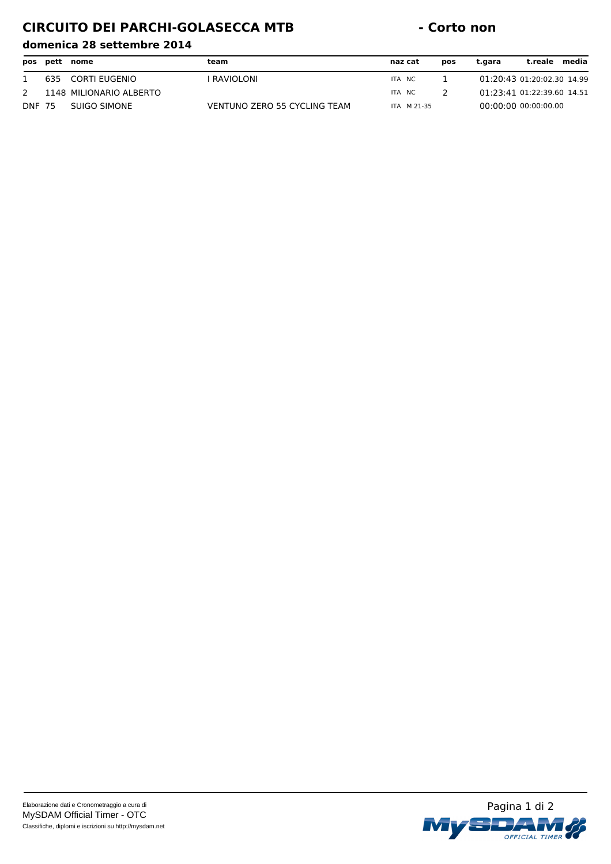# **CIRCUITO DEI PARCHI-GOLASECCA MTB - Corto non**

|               | pos pett | nome                    | team                         | naz cat     | pos | t.gara | t.reale                    | media |
|---------------|----------|-------------------------|------------------------------|-------------|-----|--------|----------------------------|-------|
|               | 635      | CORTI EUGENIO           | RAVIOLONI                    | ITA NC      |     |        | 01:20:43 01:20:02.30 14.99 |       |
| 2             |          | 1148 MILIONARIO ALBERTO |                              | ITA NC      |     |        | 01:23:41 01:22:39.60 14.51 |       |
| <b>DNF 75</b> |          | SUIGO SIMONE            | VENTUNO ZERO 55 CYCLING TEAM | ITA M 21-35 |     |        | $00:00:00$ $00:00:00.00$   |       |

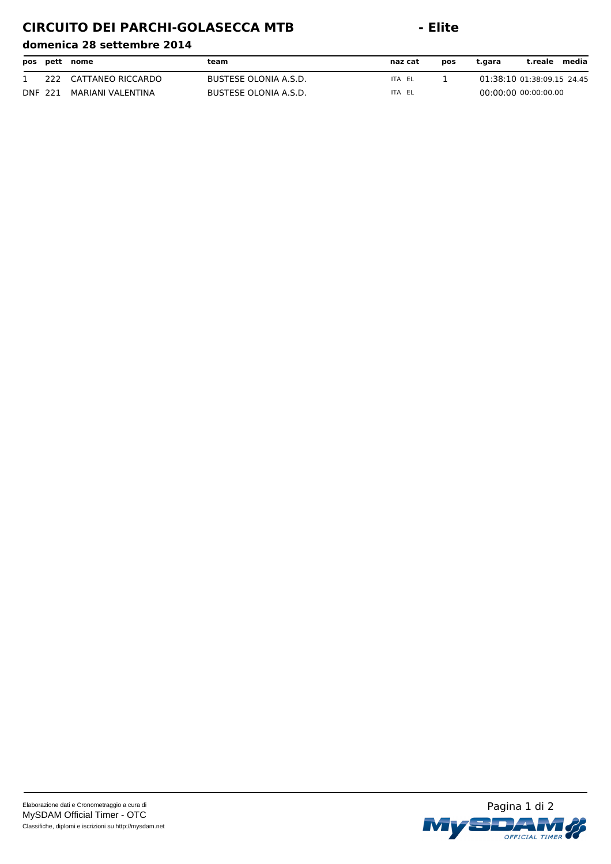# **CIRCUITO DEI PARCHI-GOLASECCA MTB - Elite**

|                |     | pos pett nome     | team                  | naz cat | pos | t.gara                     | t.reale | media |
|----------------|-----|-------------------|-----------------------|---------|-----|----------------------------|---------|-------|
|                | 222 | CATTANEO RICCARDO | BUSTESE OLONIA A.S.D. | ITA EL  |     | 01:38:10 01:38:09.15 24.45 |         |       |
| <b>DNF 221</b> |     | MARIANI VALENTINA | BUSTESE OLONIA A.S.D. | ITA EL  |     | 00:00:00 00:00:00.00       |         |       |

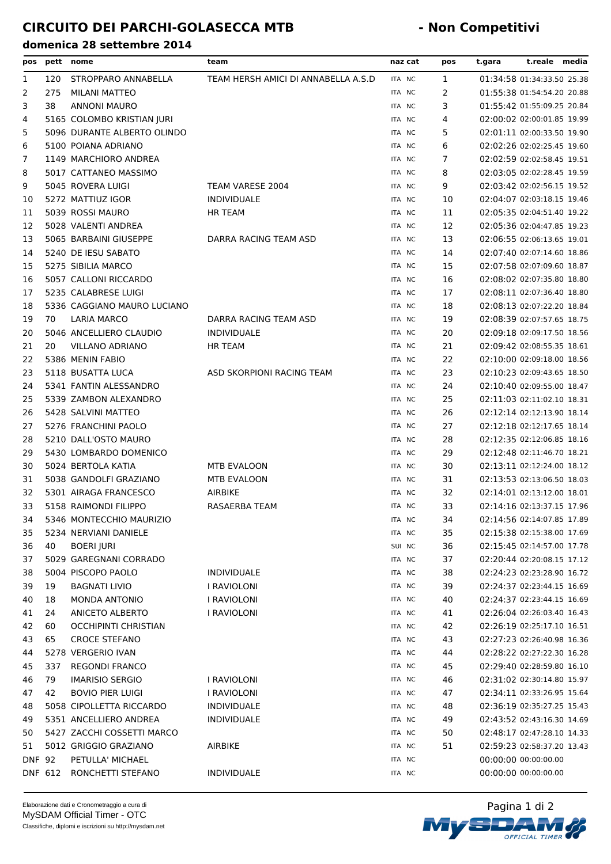| pos                 |     | pett nome                                            | team                                | naz cat          | pos            | t.gara | t.reale media                                            |  |
|---------------------|-----|------------------------------------------------------|-------------------------------------|------------------|----------------|--------|----------------------------------------------------------|--|
| 1                   | 120 | STROPPARO ANNABELLA                                  | TEAM HERSH AMICI DI ANNABELLA A.S.D | ITA NC           | 1              |        | 01:34:58 01:34:33.50 25.38                               |  |
| 2                   | 275 | MILANI MATTEO                                        |                                     | ITA NC           | $\overline{2}$ |        | 01:55:38 01:54:54.20 20.88                               |  |
| 3                   | 38  | <b>ANNONI MAURO</b>                                  |                                     | ITA NC           | 3              |        | 01:55:42 01:55:09.25 20.84                               |  |
| 4                   |     | 5165 COLOMBO KRISTIAN JURI                           |                                     | ITA NC           | 4              |        | 02:00:02 02:00:01.85 19.99                               |  |
| 5                   |     | 5096 DURANTE ALBERTO OLINDO                          |                                     | ITA NC           | 5              |        | 02:01:11 02:00:33.50 19.90                               |  |
| 6                   |     | 5100 POIANA ADRIANO                                  |                                     | ITA NC           | 6              |        | 02:02:26 02:02:25.45 19.60                               |  |
| 7                   |     | 1149 MARCHIORO ANDREA                                |                                     | ITA NC           | $\overline{7}$ |        | 02:02:59 02:02:58.45 19.51                               |  |
| 8                   |     | 5017 CATTANEO MASSIMO                                |                                     | ITA NC           | 8              |        | 02:03:05 02:02:28.45 19.59                               |  |
| 9                   |     | 5045 ROVERA LUIGI                                    | TEAM VARESE 2004                    | ITA NC           | 9              |        | 02:03:42 02:02:56.15 19.52                               |  |
| 10                  |     | 5272 MATTIUZ IGOR                                    | <b>INDIVIDUALE</b>                  | ITA NC           | 10             |        | 02:04:07 02:03:18.15 19.46                               |  |
| 11                  |     | 5039 ROSSI MAURO                                     | <b>HR TEAM</b>                      | ITA NC           | 11             |        | 02:05:35 02:04:51.40 19.22                               |  |
| 12                  |     | 5028 VALENTI ANDREA                                  |                                     | ITA NC           | 12             |        | 02:05:36 02:04:47.85 19.23                               |  |
| 13                  |     | 5065 BARBAINI GIUSEPPE                               | DARRA RACING TEAM ASD               | ITA NC           | 13             |        | 02:06:55 02:06:13.65 19.01                               |  |
| 14                  |     | 5240 DE IESU SABATO                                  |                                     | ITA NC           | 14             |        | 02:07:40 02:07:14.60 18.86                               |  |
| 15                  |     | 5275 SIBILIA MARCO                                   |                                     | ITA NC           | 15             |        | 02:07:58 02:07:09.60 18.87                               |  |
| 16                  |     | 5057 CALLONI RICCARDO                                |                                     | ITA NC           | 16             |        | 02:08:02 02:07:35.80 18.80                               |  |
| 17                  |     | 5235 CALABRESE LUIGI                                 |                                     | ITA NC           | 17             |        | 02:08:11 02:07:36.40 18.80                               |  |
| 18                  |     | 5336 CAGGIANO MAURO LUCIANO                          |                                     | ITA NC           | 18             |        | 02:08:13 02:07:22.20 18.84                               |  |
| 19                  | 70  | <b>LARIA MARCO</b>                                   | DARRA RACING TEAM ASD               | ITA NC           | 19             |        | 02:08:39 02:07:57.65 18.75                               |  |
| 20                  |     | 5046 ANCELLIERO CLAUDIO                              | <b>INDIVIDUALE</b>                  | ITA NC           | 20             |        | 02:09:18 02:09:17.50 18.56                               |  |
| 21                  | 20  | <b>VILLANO ADRIANO</b>                               | HR TEAM                             | ITA NC           | 21             |        | 02:09:42 02:08:55.35 18.61                               |  |
| 22                  |     | 5386 MENIN FABIO                                     |                                     | ITA NC           | 22             |        | 02:10:00 02:09:18.00 18.56                               |  |
| 23                  |     | 5118 BUSATTA LUCA                                    | ASD SKORPIONI RACING TEAM           | ITA NC           | 23             |        | 02:10:23 02:09:43.65 18.50                               |  |
| 24                  |     | 5341 FANTIN ALESSANDRO                               |                                     | ITA NC           | 24             |        | 02:10:40 02:09:55.00 18.47                               |  |
| 25                  |     | 5339 ZAMBON ALEXANDRO                                |                                     | ITA NC           | 25             |        | 02:11:03 02:11:02.10 18.31                               |  |
| 26                  |     | 5428 SALVINI MATTEO                                  |                                     | ITA NC           | 26             |        | 02:12:14 02:12:13.90 18.14                               |  |
| 27                  |     | 5276 FRANCHINI PAOLO                                 |                                     | ITA NC           | 27             |        | 02:12:18 02:12:17.65 18.14                               |  |
| 28                  |     | 5210 DALL'OSTO MAURO                                 |                                     | ITA NC           | 28             |        | 02:12:35 02:12:06.85 18.16                               |  |
| 29                  |     | 5430 LOMBARDO DOMENICO                               |                                     | ITA NC           | 29             |        | 02:12:48 02:11:46.70 18.21                               |  |
| 30                  |     | 5024 BERTOLA KATIA                                   | <b>MTB EVALOON</b>                  | ITA NC           | 30             |        | 02:13:11 02:12:24.00 18.12                               |  |
| 31                  |     | 5038 GANDOLFI GRAZIANO                               | <b>MTB EVALOON</b>                  | ITA NC           | 31             |        | 02:13:53 02:13:06.50 18.03                               |  |
| 32                  |     | 5301 AIRAGA FRANCESCO                                | <b>AIRBIKE</b>                      | ITA NC           | 32             |        | 02:14:01 02:13:12.00 18.01                               |  |
| 33                  |     | 5158 RAIMONDI FILIPPO                                | RASAERBA TEAM                       | ITA NC           | 33             |        | 02:14:16 02:13:37.15 17.96                               |  |
| 34                  |     | 5346 MONTECCHIO MAURIZIO                             |                                     | ITA NC           | 34             |        | 02:14:56 02:14:07.85 17.89                               |  |
| 35                  |     | 5234 NERVIANI DANIELE                                |                                     | ITA NC           | 35             |        | 02:15:38 02:15:38.00 17.69                               |  |
| 36                  | 40  | <b>BOERI JURI</b>                                    |                                     | SUI NC           | 36             |        | 02:15:45 02:14:57.00 17.78                               |  |
| 37                  |     | 5029 GAREGNANI CORRADO                               |                                     | ITA NC           | 37             |        | 02:20:44 02:20:08.15 17.12                               |  |
| 38                  |     | 5004 PISCOPO PAOLO                                   | <b>INDIVIDUALE</b>                  | ITA NC           | 38             |        | 02:24:23 02:23:28.90 16.72                               |  |
| 39                  | 19  | <b>BAGNATI LIVIO</b>                                 | I RAVIOLONI                         | ITA NC           | 39             |        | 02:24:37 02:23:44.15 16.69                               |  |
| 40                  | 18  | MONDA ANTONIO                                        | I RAVIOLONI                         | ITA NC           | 40             |        | 02:24:37 02:23:44.15 16.69                               |  |
| 41                  | 24  | ANICETO ALBERTO                                      | I RAVIOLONI                         | ITA NC           | 41             |        | 02:26:04 02:26:03.40 16.43                               |  |
| 42                  | 60  | <b>OCCHIPINTI CHRISTIAN</b>                          |                                     | ITA NC           | 42             |        | 02:26:19 02:25:17.10 16.51                               |  |
| 43                  | 65  | <b>CROCE STEFANO</b>                                 |                                     | ITA NC           | 43             |        | 02:27:23 02:26:40.98 16.36                               |  |
| 44                  |     | 5278 VERGERIO IVAN                                   |                                     | ITA NC           | 44             |        | 02:28:22 02:27:22.30 16.28                               |  |
| 45                  | 337 | <b>REGONDI FRANCO</b>                                |                                     | ITA NC           | 45             |        | 02:29:40 02:28:59.80 16.10                               |  |
|                     | 79  | <b>IMARISIO SERGIO</b>                               | I RAVIOLONI                         | ITA NC           | 46             |        | 02:31:02 02:30:14.80 15.97                               |  |
| 46<br>47            | 42  | <b>BOVIO PIER LUIGI</b>                              | I RAVIOLONI                         | ITA NC           | 47             |        | 02:34:11 02:33:26.95 15.64                               |  |
|                     |     |                                                      |                                     |                  |                |        |                                                          |  |
| 48                  |     | 5058 CIPOLLETTA RICCARDO                             | <b>INDIVIDUALE</b>                  | ITA NC           | 48             |        | 02:36:19 02:35:27.25 15.43                               |  |
| 49                  |     | 5351 ANCELLIERO ANDREA<br>5427 ZACCHI COSSETTI MARCO | INDIVIDUALE                         | ITA NC           | 49<br>50       |        | 02:43:52 02:43:16.30 14.69<br>02:48:17 02:47:28.10 14.33 |  |
| 50                  |     | 5012 GRIGGIO GRAZIANO                                | AIRBIKE                             | ITA NC<br>ITA NC | 51             |        | 02:59:23 02:58:37.20 13.43                               |  |
| 51<br><b>DNF 92</b> |     |                                                      |                                     |                  |                |        | 00:00:00 00:00:00.00                                     |  |
|                     |     | PETULLA' MICHAEL                                     |                                     | ITA NC           |                |        |                                                          |  |
| DNF 612             |     | RONCHETTI STEFANO                                    | <b>INDIVIDUALE</b>                  | ITA NC           |                |        | 00:00:00 00:00:00.00                                     |  |